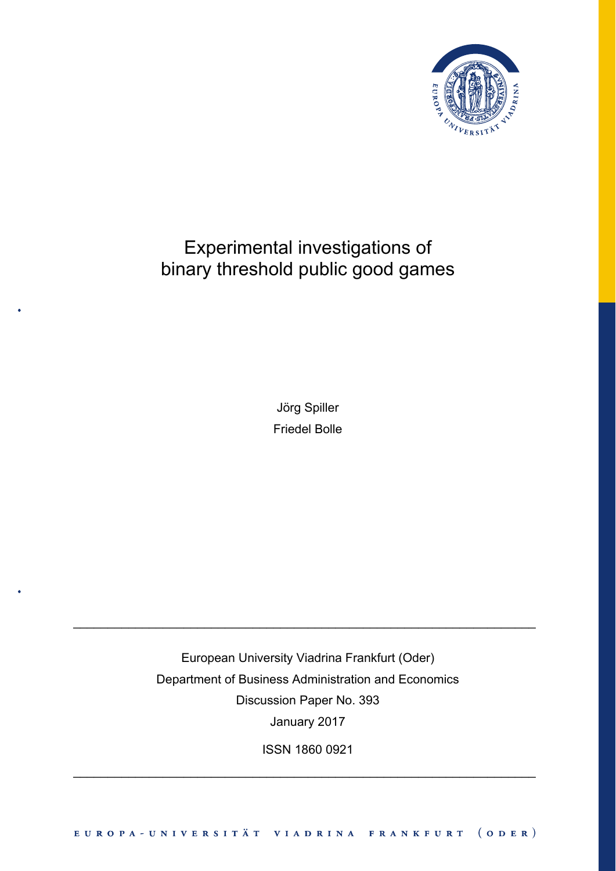

# Experimental investigations of binary threshold public good games

Jörg Spiller Friedel Bolle

European University Viadrina Frankfurt (Oder) Department of Business Administration and Economics Discussion Paper No. 393 January 2017

\_\_\_\_\_\_\_\_\_\_\_\_\_\_\_\_\_\_\_\_\_\_\_\_\_\_\_\_\_\_\_\_\_\_\_\_\_\_\_\_\_\_\_\_\_\_\_\_\_\_\_\_\_\_\_\_\_\_\_\_\_\_\_\_\_\_\_

ISSN 1860 0921

\_\_\_\_\_\_\_\_\_\_\_\_\_\_\_\_\_\_\_\_\_\_\_\_\_\_\_\_\_\_\_\_\_\_\_\_\_\_\_\_\_\_\_\_\_\_\_\_\_\_\_\_\_\_\_\_\_\_\_\_\_\_\_\_\_\_\_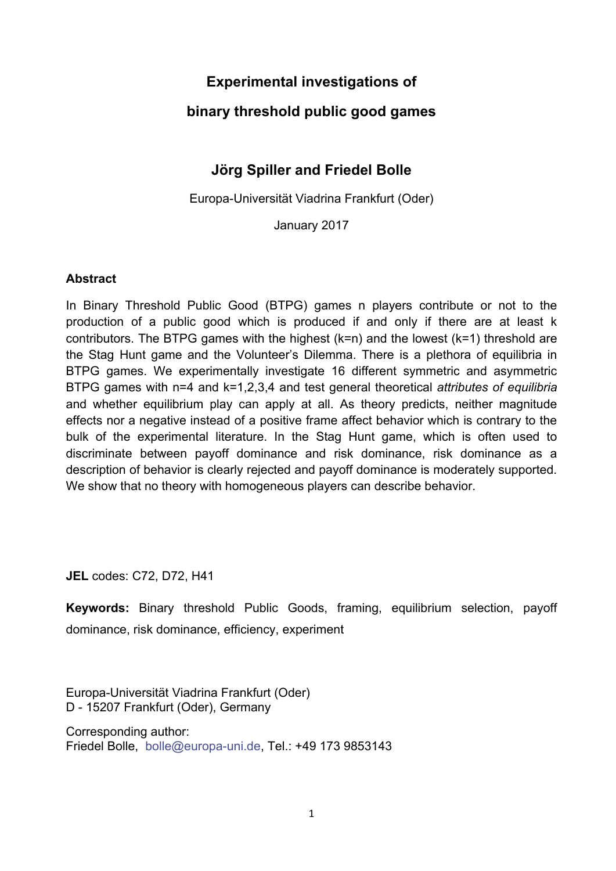# **Experimental investigations of**

# **binary threshold public good games**

# **Jörg Spiller and Friedel Bolle**

Europa-Universität Viadrina Frankfurt (Oder)

January 2017

#### **Abstract**

In Binary Threshold Public Good (BTPG) games n players contribute or not to the production of a public good which is produced if and only if there are at least k contributors. The BTPG games with the highest (k=n) and the lowest (k=1) threshold are the Stag Hunt game and the Volunteer's Dilemma. There is a plethora of equilibria in BTPG games. We experimentally investigate 16 different symmetric and asymmetric BTPG games with n=4 and k=1,2,3,4 and test general theoretical *attributes of equilibria* and whether equilibrium play can apply at all. As theory predicts, neither magnitude effects nor a negative instead of a positive frame affect behavior which is contrary to the bulk of the experimental literature. In the Stag Hunt game, which is often used to discriminate between payoff dominance and risk dominance, risk dominance as a description of behavior is clearly rejected and payoff dominance is moderately supported. We show that no theory with homogeneous players can describe behavior.

**JEL** codes: C72, D72, H41

**Keywords:** Binary threshold Public Goods, framing, equilibrium selection, payoff dominance, risk dominance, efficiency, experiment

Europa-Universität Viadrina Frankfurt (Oder) D - 15207 Frankfurt (Oder), Germany

Corresponding author: Friedel Bolle, bolle@europa-uni.de, Tel.: +49 173 9853143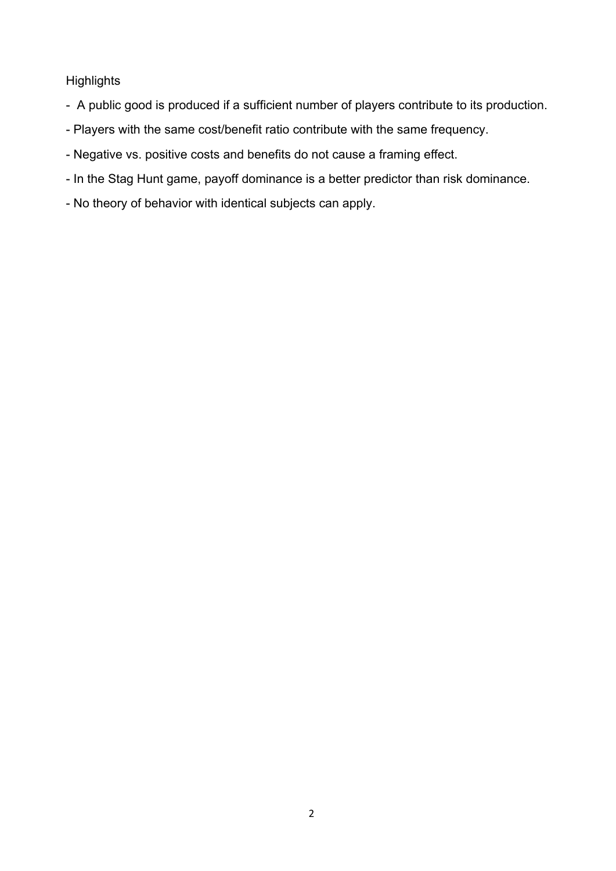### **Highlights**

- A public good is produced if a sufficient number of players contribute to its production.
- Players with the same cost/benefit ratio contribute with the same frequency.
- Negative vs. positive costs and benefits do not cause a framing effect.
- In the Stag Hunt game, payoff dominance is a better predictor than risk dominance.
- No theory of behavior with identical subjects can apply.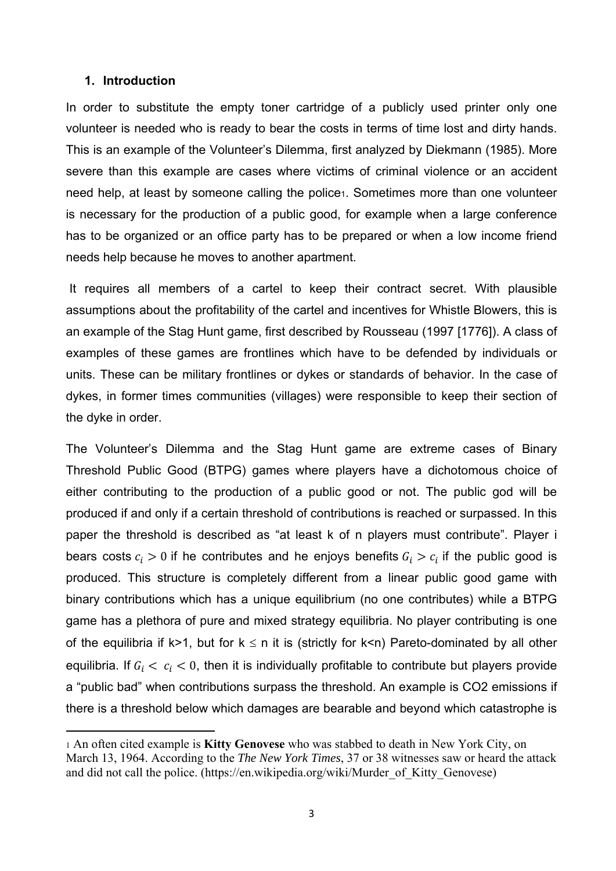#### **1. Introduction**

In order to substitute the empty toner cartridge of a publicly used printer only one volunteer is needed who is ready to bear the costs in terms of time lost and dirty hands. This is an example of the Volunteer's Dilemma, first analyzed by Diekmann (1985). More severe than this example are cases where victims of criminal violence or an accident need help, at least by someone calling the police1. Sometimes more than one volunteer is necessary for the production of a public good, for example when a large conference has to be organized or an office party has to be prepared or when a low income friend needs help because he moves to another apartment.

 It requires all members of a cartel to keep their contract secret. With plausible assumptions about the profitability of the cartel and incentives for Whistle Blowers, this is an example of the Stag Hunt game, first described by Rousseau (1997 [1776]). A class of examples of these games are frontlines which have to be defended by individuals or units. These can be military frontlines or dykes or standards of behavior. In the case of dykes, in former times communities (villages) were responsible to keep their section of the dyke in order.

The Volunteer's Dilemma and the Stag Hunt game are extreme cases of Binary Threshold Public Good (BTPG) games where players have a dichotomous choice of either contributing to the production of a public good or not. The public god will be produced if and only if a certain threshold of contributions is reached or surpassed. In this paper the threshold is described as "at least k of n players must contribute". Player i bears costs  $c_i > 0$  if he contributes and he enjoys benefits  $G_i > c_i$  if the public good is produced. This structure is completely different from a linear public good game with binary contributions which has a unique equilibrium (no one contributes) while a BTPG game has a plethora of pure and mixed strategy equilibria. No player contributing is one of the equilibria if k>1, but for  $k \le n$  it is (strictly for k<n) Pareto-dominated by all other equilibria. If  $G_i < c_i < 0$ , then it is individually profitable to contribute but players provide a "public bad" when contributions surpass the threshold. An example is CO2 emissions if there is a threshold below which damages are bearable and beyond which catastrophe is

<sup>1</sup> An often cited example is **Kitty Genovese** who was stabbed to death in New York City, on March 13, 1964. According to the *The New York Times*, 37 or 38 witnesses saw or heard the attack and did not call the police. (https://en.wikipedia.org/wiki/Murder\_of\_Kitty\_Genovese)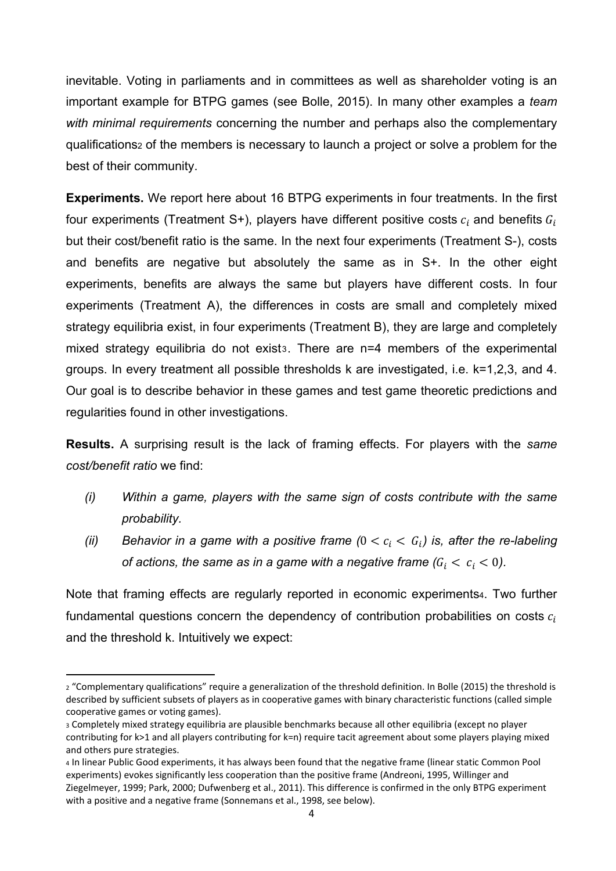inevitable. Voting in parliaments and in committees as well as shareholder voting is an important example for BTPG games (see Bolle, 2015). In many other examples a *team with minimal requirements* concerning the number and perhaps also the complementary qualifications2 of the members is necessary to launch a project or solve a problem for the best of their community.

**Experiments.** We report here about 16 BTPG experiments in four treatments. In the first four experiments (Treatment S+), players have different positive costs  $c_i$  and benefits  $G_i$ but their cost/benefit ratio is the same. In the next four experiments (Treatment S-), costs and benefits are negative but absolutely the same as in S+. In the other eight experiments, benefits are always the same but players have different costs. In four experiments (Treatment A), the differences in costs are small and completely mixed strategy equilibria exist, in four experiments (Treatment B), they are large and completely mixed strategy equilibria do not exist<sub>3</sub>. There are n=4 members of the experimental groups. In every treatment all possible thresholds k are investigated, i.e. k=1,2,3, and 4. Our goal is to describe behavior in these games and test game theoretic predictions and regularities found in other investigations.

**Results.** A surprising result is the lack of framing effects. For players with the *same cost/benefit ratio* we find:

- *(i) Within a game, players with the same sign of costs contribute with the same probability.*
- *(ii)* Behavior in a game with a positive frame  $(0 < c<sub>i</sub> < G<sub>i</sub>)$  is, after the re-labeling *of actions, the same as in a game with a negative frame (* $G_i < c_i < 0$ *).*

Note that framing effects are regularly reported in economic experiments4. Two further fundamental questions concern the dependency of contribution probabilities on costs  $c_i$ and the threshold k. Intuitively we expect:

<sup>2 &</sup>quot;Complementary qualifications" require a generalization of the threshold definition. In Bolle (2015) the threshold is described by sufficient subsets of players as in cooperative games with binary characteristic functions (called simple cooperative games or voting games).

<sup>3</sup> Completely mixed strategy equilibria are plausible benchmarks because all other equilibria (except no player contributing for k>1 and all players contributing for k=n) require tacit agreement about some players playing mixed and others pure strategies.

<sup>4</sup> In linear Public Good experiments, it has always been found that the negative frame (linear static Common Pool experiments) evokes significantly less cooperation than the positive frame (Andreoni, 1995, Willinger and Ziegelmeyer, 1999; Park, 2000; Dufwenberg et al., 2011). This difference is confirmed in the only BTPG experiment with a positive and a negative frame (Sonnemans et al., 1998, see below).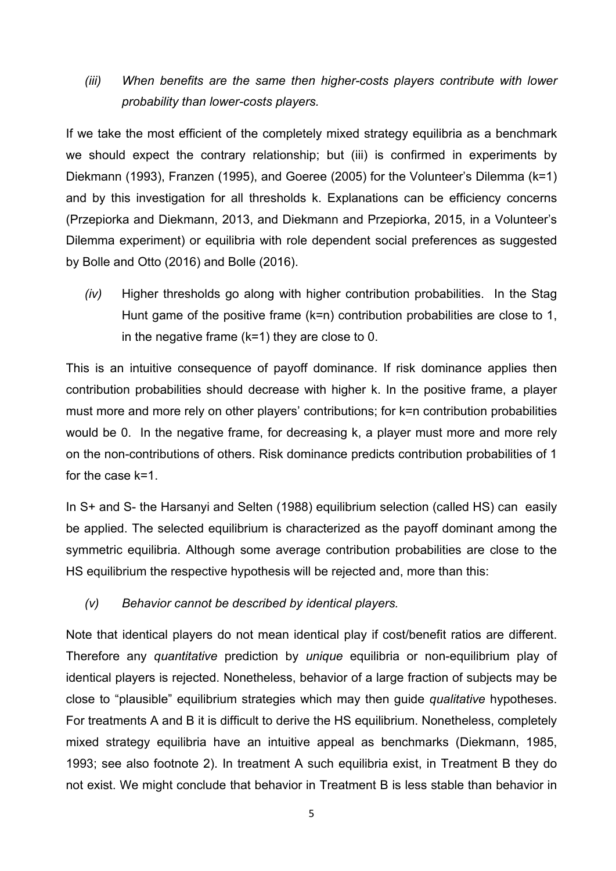# *(iii) When benefits are the same then higher-costs players contribute with lower probability than lower-costs players.*

If we take the most efficient of the completely mixed strategy equilibria as a benchmark we should expect the contrary relationship; but (iii) is confirmed in experiments by Diekmann (1993), Franzen (1995), and Goeree (2005) for the Volunteer's Dilemma (k=1) and by this investigation for all thresholds k. Explanations can be efficiency concerns (Przepiorka and Diekmann, 2013, and Diekmann and Przepiorka, 2015, in a Volunteer's Dilemma experiment) or equilibria with role dependent social preferences as suggested by Bolle and Otto (2016) and Bolle (2016).

*(iv)* Higher thresholds go along with higher contribution probabilities. In the Stag Hunt game of the positive frame (k=n) contribution probabilities are close to 1, in the negative frame  $(k=1)$  they are close to 0.

This is an intuitive consequence of payoff dominance. If risk dominance applies then contribution probabilities should decrease with higher k. In the positive frame, a player must more and more rely on other players' contributions; for k=n contribution probabilities would be 0. In the negative frame, for decreasing k, a player must more and more rely on the non-contributions of others. Risk dominance predicts contribution probabilities of 1 for the case k=1.

In S+ and S- the Harsanyi and Selten (1988) equilibrium selection (called HS) can easily be applied. The selected equilibrium is characterized as the payoff dominant among the symmetric equilibria. Although some average contribution probabilities are close to the HS equilibrium the respective hypothesis will be rejected and, more than this:

#### *(v) Behavior cannot be described by identical players.*

Note that identical players do not mean identical play if cost/benefit ratios are different. Therefore any *quantitative* prediction by *unique* equilibria or non-equilibrium play of identical players is rejected. Nonetheless, behavior of a large fraction of subjects may be close to "plausible" equilibrium strategies which may then guide *qualitative* hypotheses. For treatments A and B it is difficult to derive the HS equilibrium. Nonetheless, completely mixed strategy equilibria have an intuitive appeal as benchmarks (Diekmann, 1985, 1993; see also footnote 2). In treatment A such equilibria exist, in Treatment B they do not exist. We might conclude that behavior in Treatment B is less stable than behavior in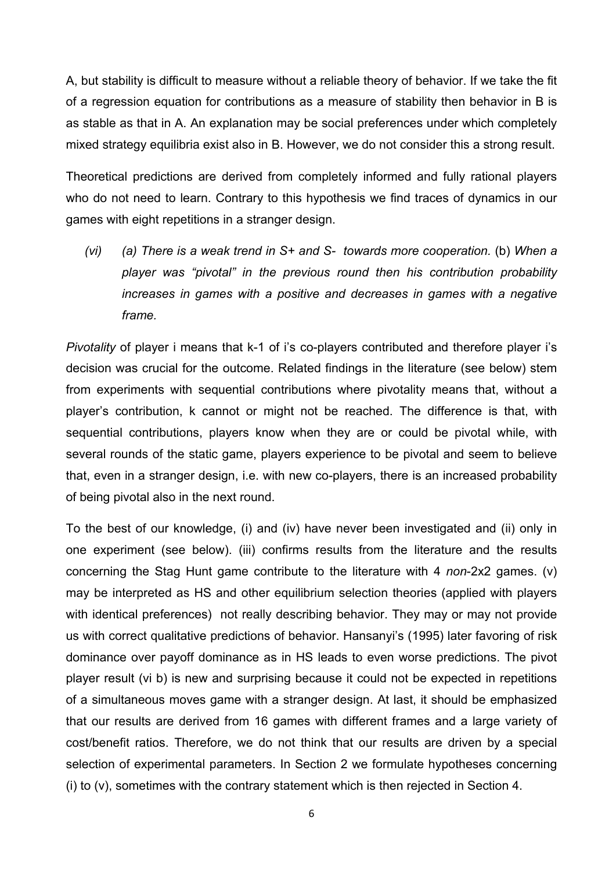A, but stability is difficult to measure without a reliable theory of behavior. If we take the fit of a regression equation for contributions as a measure of stability then behavior in B is as stable as that in A. An explanation may be social preferences under which completely mixed strategy equilibria exist also in B. However, we do not consider this a strong result.

Theoretical predictions are derived from completely informed and fully rational players who do not need to learn. Contrary to this hypothesis we find traces of dynamics in our games with eight repetitions in a stranger design.

*(vi) (a) There is a weak trend in S+ and S- towards more cooperation.* (b) *When a player was "pivotal" in the previous round then his contribution probability increases in games with a positive and decreases in games with a negative frame.* 

*Pivotality* of player i means that k-1 of i's co-players contributed and therefore player i's decision was crucial for the outcome. Related findings in the literature (see below) stem from experiments with sequential contributions where pivotality means that, without a player's contribution, k cannot or might not be reached. The difference is that, with sequential contributions, players know when they are or could be pivotal while, with several rounds of the static game, players experience to be pivotal and seem to believe that, even in a stranger design, i.e. with new co-players, there is an increased probability of being pivotal also in the next round.

To the best of our knowledge, (i) and (iv) have never been investigated and (ii) only in one experiment (see below). (iii) confirms results from the literature and the results concerning the Stag Hunt game contribute to the literature with 4 *non*-2x2 games. (v) may be interpreted as HS and other equilibrium selection theories (applied with players with identical preferences) not really describing behavior. They may or may not provide us with correct qualitative predictions of behavior. Hansanyi's (1995) later favoring of risk dominance over payoff dominance as in HS leads to even worse predictions. The pivot player result (vi b) is new and surprising because it could not be expected in repetitions of a simultaneous moves game with a stranger design. At last, it should be emphasized that our results are derived from 16 games with different frames and a large variety of cost/benefit ratios. Therefore, we do not think that our results are driven by a special selection of experimental parameters. In Section 2 we formulate hypotheses concerning (i) to (v), sometimes with the contrary statement which is then rejected in Section 4.

6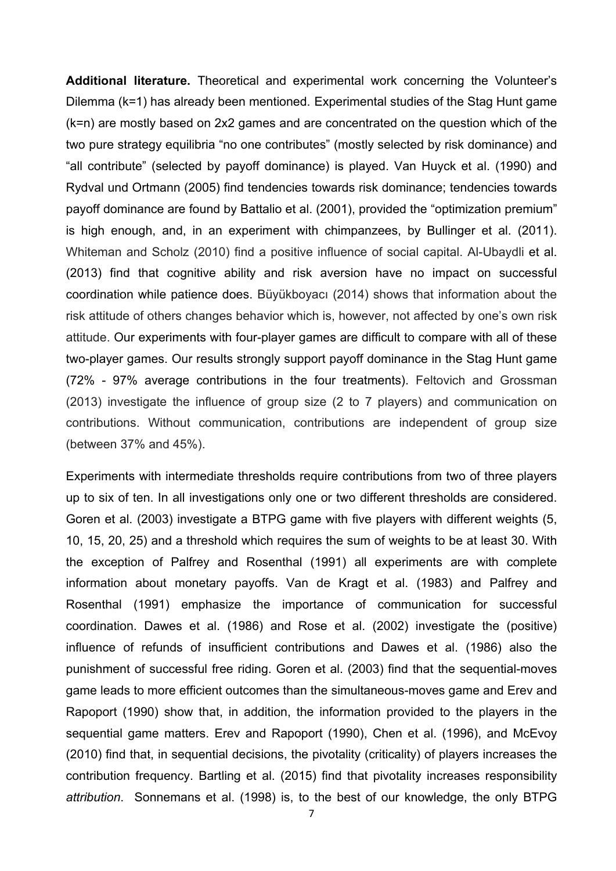**Additional literature.** Theoretical and experimental work concerning the Volunteer's Dilemma (k=1) has already been mentioned. Experimental studies of the Stag Hunt game (k=n) are mostly based on 2x2 games and are concentrated on the question which of the two pure strategy equilibria "no one contributes" (mostly selected by risk dominance) and "all contribute" (selected by payoff dominance) is played. Van Huyck et al. (1990) and Rydval und Ortmann (2005) find tendencies towards risk dominance; tendencies towards payoff dominance are found by Battalio et al. (2001), provided the "optimization premium" is high enough, and, in an experiment with chimpanzees, by Bullinger et al. (2011). Whiteman and Scholz (2010) find a positive influence of social capital. Al-Ubaydli et al. (2013) find that cognitive ability and risk aversion have no impact on successful coordination while patience does. Büyükboyacı (2014) shows that information about the risk attitude of others changes behavior which is, however, not affected by one's own risk attitude. Our experiments with four-player games are difficult to compare with all of these two-player games. Our results strongly support payoff dominance in the Stag Hunt game (72% - 97% average contributions in the four treatments). Feltovich and Grossman (2013) investigate the influence of group size (2 to 7 players) and communication on contributions. Without communication, contributions are independent of group size (between 37% and 45%).

Experiments with intermediate thresholds require contributions from two of three players up to six of ten. In all investigations only one or two different thresholds are considered. Goren et al. (2003) investigate a BTPG game with five players with different weights (5, 10, 15, 20, 25) and a threshold which requires the sum of weights to be at least 30. With the exception of Palfrey and Rosenthal (1991) all experiments are with complete information about monetary payoffs. Van de Kragt et al. (1983) and Palfrey and Rosenthal (1991) emphasize the importance of communication for successful coordination. Dawes et al. (1986) and Rose et al. (2002) investigate the (positive) influence of refunds of insufficient contributions and Dawes et al. (1986) also the punishment of successful free riding. Goren et al. (2003) find that the sequential-moves game leads to more efficient outcomes than the simultaneous-moves game and Erev and Rapoport (1990) show that, in addition, the information provided to the players in the sequential game matters. Erev and Rapoport (1990), Chen et al. (1996), and McEvoy (2010) find that, in sequential decisions, the pivotality (criticality) of players increases the contribution frequency. Bartling et al. (2015) find that pivotality increases responsibility *attribution*. Sonnemans et al. (1998) is, to the best of our knowledge, the only BTPG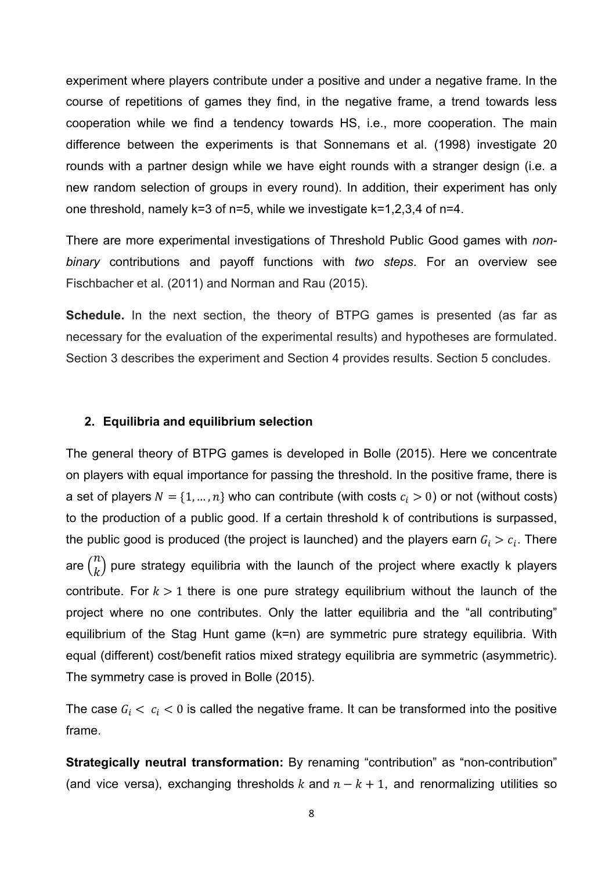experiment where players contribute under a positive and under a negative frame. In the course of repetitions of games they find, in the negative frame, a trend towards less cooperation while we find a tendency towards HS, i.e., more cooperation. The main difference between the experiments is that Sonnemans et al. (1998) investigate 20 rounds with a partner design while we have eight rounds with a stranger design (i.e. a new random selection of groups in every round). In addition, their experiment has only one threshold, namely k=3 of n=5, while we investigate k=1,2,3,4 of n=4.

There are more experimental investigations of Threshold Public Good games with *nonbinary* contributions and payoff functions with *two steps*. For an overview see Fischbacher et al. (2011) and Norman and Rau (2015).

**Schedule.** In the next section, the theory of BTPG games is presented (as far as necessary for the evaluation of the experimental results) and hypotheses are formulated. Section 3 describes the experiment and Section 4 provides results. Section 5 concludes.

#### **2. Equilibria and equilibrium selection**

The general theory of BTPG games is developed in Bolle (2015). Here we concentrate on players with equal importance for passing the threshold. In the positive frame, there is a set of players  $N = \{1, ..., n\}$  who can contribute (with costs  $c_i > 0$ ) or not (without costs) to the production of a public good. If a certain threshold k of contributions is surpassed, the public good is produced (the project is launched) and the players earn  $G_i > c_i.$  There are  $\binom{n}{k}$  pure strategy equilibria with the launch of the project where exactly k players contribute. For  $k > 1$  there is one pure strategy equilibrium without the launch of the project where no one contributes. Only the latter equilibria and the "all contributing" equilibrium of the Stag Hunt game (k=n) are symmetric pure strategy equilibria. With equal (different) cost/benefit ratios mixed strategy equilibria are symmetric (asymmetric). The symmetry case is proved in Bolle (2015).

The case  $G_i < c_i < 0$  is called the negative frame. It can be transformed into the positive frame.

**Strategically neutral transformation:** By renaming "contribution" as "non-contribution" (and vice versa), exchanging thresholds k and  $n-k+1$ , and renormalizing utilities so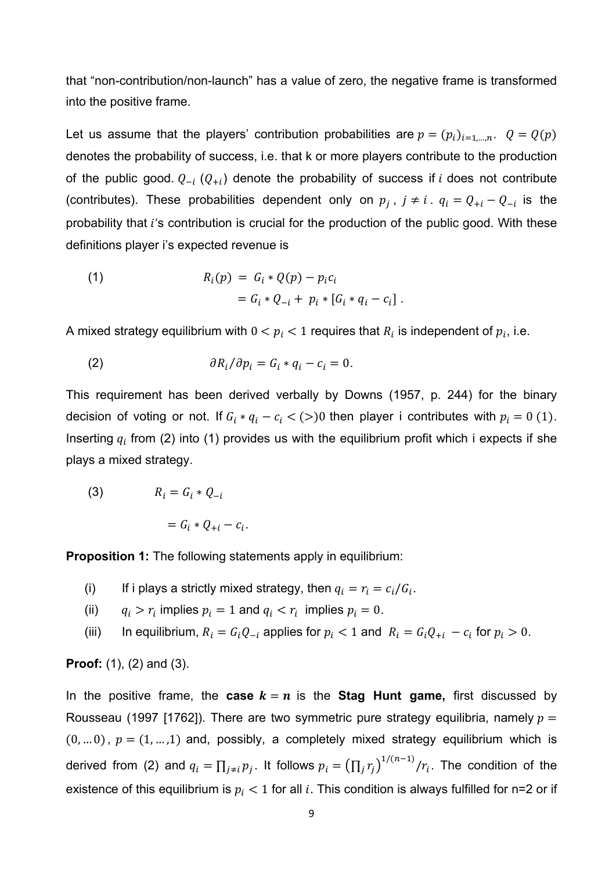that "non-contribution/non-launch" has a value of zero, the negative frame is transformed into the positive frame.

Let us assume that the players' contribution probabilities are  $p = (p_i)_{i=1,\dots,n}$ .  $Q = Q(p)$ denotes the probability of success, i.e. that k or more players contribute to the production of the public good.  $Q_{-i}$  ( $Q_{+i}$ ) denote the probability of success if i does not contribute (contributes). These probabilities dependent only on  $p_j$ ,  $j \neq i$ .  $q_i = Q_{+i} - Q_{-i}$  is the probability that  $i$ 's contribution is crucial for the production of the public good. With these definitions player i's expected revenue is

(1) 
$$
R_i(p) = G_i * Q(p) - p_i c_i
$$

$$
= G_i * Q_{-i} + p_i * [G_i * q_i - c_i].
$$

A mixed strategy equilibrium with  $0 < p_i < 1$  requires that  $R_i$  is independent of  $p_i$ , i.e.

(2) 
$$
\partial R_i / \partial p_i = G_i * q_i - c_i = 0.
$$

This requirement has been derived verbally by Downs (1957, p. 244) for the binary decision of voting or not. If  $G_i * q_i - c_i < (>)0$  then player i contributes with  $p_i = 0 \ (1)$ . Inserting  $q_i$  from (2) into (1) provides us with the equilibrium profit which i expects if she plays a mixed strategy.

(3)  $R_i = G_i * O_{-i}$ 

$$
= G_i * Q_{+i} - c_i.
$$

**Proposition 1:** The following statements apply in equilibrium:

- (i) If i plays a strictly mixed strategy, then  $q_i = r_i = c_i/G_i$ .
- (ii)  $q_i > r_i$  implies  $p_i = 1$  and  $q_i < r_i$  implies  $p_i = 0$ .
- (iii) In equilibrium,  $R_i = G_i Q_{-i}$  applies for  $p_i < 1$  and  $R_i = G_i Q_{+i} c_i$  for  $p_i > 0$ .

**Proof:** (1), (2) and (3).

In the positive frame, the **case**  $k = n$  is the **Stag Hunt game,** first discussed by Rousseau (1997 [1762]). There are two symmetric pure strategy equilibria, namely  $p =$  $(0, ... 0), p = (1, ... ,1)$  and, possibly, a completely mixed strategy equilibrium which is derived from (2) and  $q_i=\prod_{j\neq i}p_j$ . It follows  $p_i=\left(\prod_jr_j\right)^{1/(n-1)}/r_i$ . The condition of the existence of this equilibrium is  $p_i < 1$  for all  $i$ . This condition is always fulfilled for n=2 or if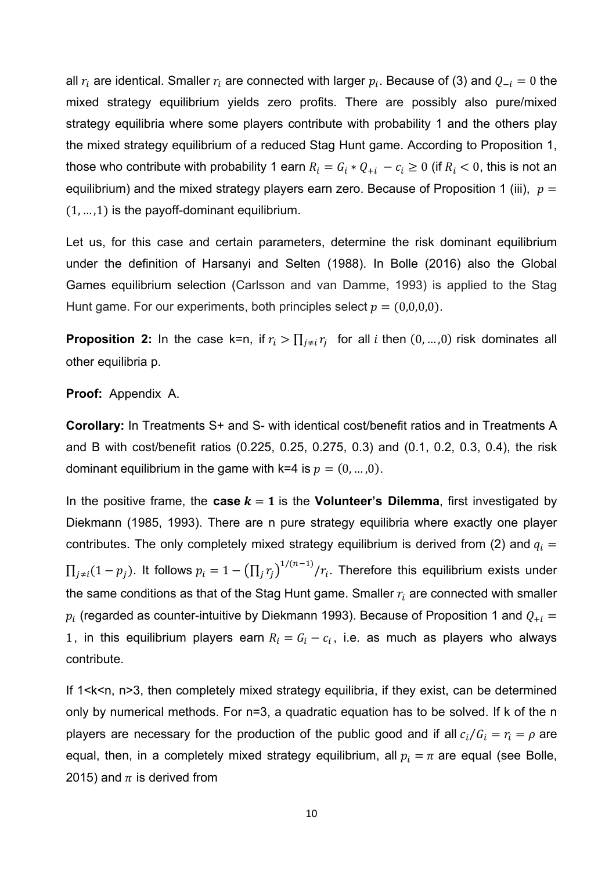all  $r_i$  are identical. Smaller  $r_i$  are connected with larger  $p_i$ . Because of (3) and  $Q_{-i} = 0$  the mixed strategy equilibrium yields zero profits. There are possibly also pure/mixed strategy equilibria where some players contribute with probability 1 and the others play the mixed strategy equilibrium of a reduced Stag Hunt game. According to Proposition 1, those who contribute with probability 1 earn  $R_i = G_i * Q_{+i} - c_i \geq 0$  (if  $R_i < 0$ , this is not an equilibrium) and the mixed strategy players earn zero. Because of Proposition 1 (iii),  $p =$  $(1, ..., 1)$  is the payoff-dominant equilibrium.

Let us, for this case and certain parameters, determine the risk dominant equilibrium under the definition of Harsanyi and Selten (1988). In Bolle (2016) also the Global Games equilibrium selection (Carlsson and van Damme, 1993) is applied to the Stag Hunt game. For our experiments, both principles select  $p = (0,0,0,0)$ .

**Proposition 2:** In the case k=n, if  $r_i > \prod_{j \neq i} r_j$  for all *i* then  $(0, ..., 0)$  risk dominates all other equilibria p.

#### **Proof:** Appendix A.

**Corollary:** In Treatments S+ and S- with identical cost/benefit ratios and in Treatments A and B with cost/benefit ratios (0.225, 0.25, 0.275, 0.3) and (0.1, 0.2, 0.3, 0.4), the risk dominant equilibrium in the game with k=4 is  $p = (0, ..., 0)$ .

In the positive frame, the **case**  $k = 1$  is the **Volunteer's Dilemma**, first investigated by Diekmann (1985, 1993). There are n pure strategy equilibria where exactly one player contributes. The only completely mixed strategy equilibrium is derived from (2) and  $q_i =$  $\prod_{j\neq i}(1-p_j)$ . It follows  $p_i=1-\left(\prod_j r_j\right)^{1/(n-1)}/r_i$ . Therefore this equilibrium exists under the same conditions as that of the Stag Hunt game. Smaller  $r_i$  are connected with smaller  $p_i$  (regarded as counter-intuitive by Diekmann 1993). Because of Proposition 1 and  $Q_{+i}$  = 1, in this equilibrium players earn  $R_i = G_i - c_i$ , i.e. as much as players who always contribute.

If 1<k<n, n>3, then completely mixed strategy equilibria, if they exist, can be determined only by numerical methods. For n=3, a quadratic equation has to be solved. If k of the n players are necessary for the production of the public good and if all  $c_i/G_i = r_i = \rho$  are equal, then, in a completely mixed strategy equilibrium, all  $p_i=\pi$  are equal (see Bolle, 2015) and  $\pi$  is derived from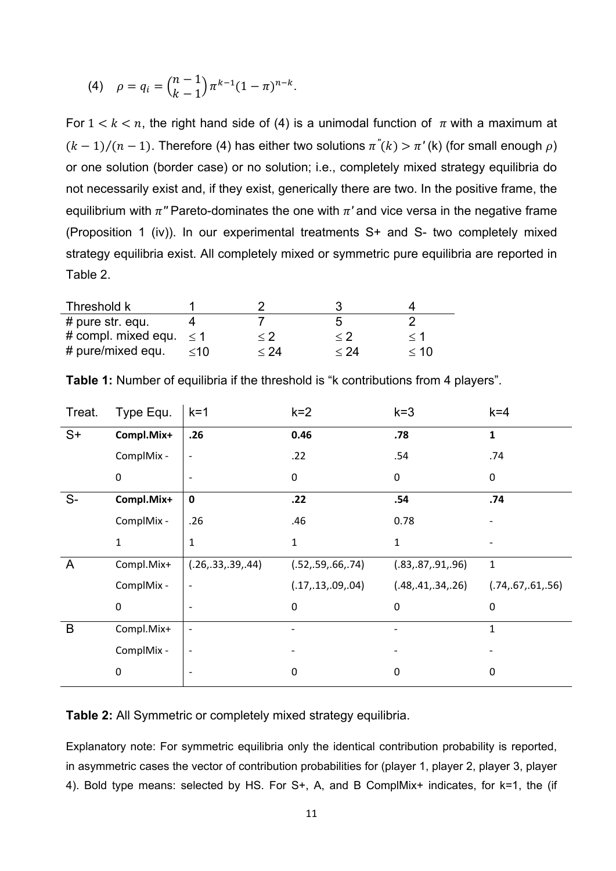(4) 
$$
\rho = q_i = {n-1 \choose k-1} \pi^{k-1} (1-\pi)^{n-k}.
$$

For  $1 < k < n$ , the right hand side of (4) is a unimodal function of  $\pi$  with a maximum at  $(k-1)/(n-1)$ . Therefore (4) has either two solutions  $\pi''(k) > \pi'(k)$  (for small enough  $\rho$ ) or one solution (border case) or no solution; i.e., completely mixed strategy equilibria do not necessarily exist and, if they exist, generically there are two. In the positive frame, the equilibrium with  $\pi$ <sup>*''*</sup> Pareto-dominates the one with  $\pi$ ' and vice versa in the negative frame (Proposition 1 (iv)). In our experimental treatments S+ and S- two completely mixed strategy equilibria exist. All completely mixed or symmetric pure equilibria are reported in Table 2.

| Threshold k                  |           |             |                     |          |
|------------------------------|-----------|-------------|---------------------|----------|
| $#$ pure str. equ.           |           |             |                     |          |
| # compl. mixed equ. $\leq 1$ |           | $\langle 2$ | $\langle 2 \rangle$ | $\leq 1$ |
| # pure/mixed equ.            | $\leq 10$ | $<$ 24 $\,$ | $<$ 24 $\,$         | < 10     |

| Treat.       | Type Equ.   | $k=1$                    | $k=2$             | $k = 3$              | $k = 4$              |
|--------------|-------------|--------------------------|-------------------|----------------------|----------------------|
| $S+$         | Compl.Mix+  | .26                      | 0.46              | .78                  | 1                    |
|              | ComplMix -  |                          | .22               | .54                  | .74                  |
|              | $\pmb{0}$   |                          | 0                 | 0                    | 0                    |
| $S-$         | Compl.Mix+  | $\mathbf 0$              | .22               | .54                  | .74                  |
|              | ComplMix -  | .26                      | .46               | 0.78                 |                      |
|              | $\mathbf 1$ | 1                        | $\mathbf{1}$      | $\mathbf{1}$         |                      |
| $\mathsf{A}$ | Compl.Mix+  | (.26,.33,.39,.44)        | (.52,.59,.66,.74) | (.83,.87,.91,.96)    | $\mathbf{1}$         |
|              | ComplMix -  |                          | (.17,.13,.09,.04) | (.48, .41, .34, .26) | (.74, .67, .61, .56) |
|              | $\pmb{0}$   |                          | 0                 | 0                    | 0                    |
| B            | Compl.Mix+  | $\overline{\phantom{a}}$ |                   |                      | $\mathbf{1}$         |
|              | ComplMix -  |                          |                   |                      |                      |
|              | $\pmb{0}$   |                          | 0                 | 0                    | 0                    |
|              |             |                          |                   |                      |                      |

**Table 1:** Number of equilibria if the threshold is "k contributions from 4 players".

**Table 2:** All Symmetric or completely mixed strategy equilibria.

Explanatory note: For symmetric equilibria only the identical contribution probability is reported, in asymmetric cases the vector of contribution probabilities for (player 1, player 2, player 3, player 4). Bold type means: selected by HS. For S+, A, and B ComplMix+ indicates, for k=1, the (if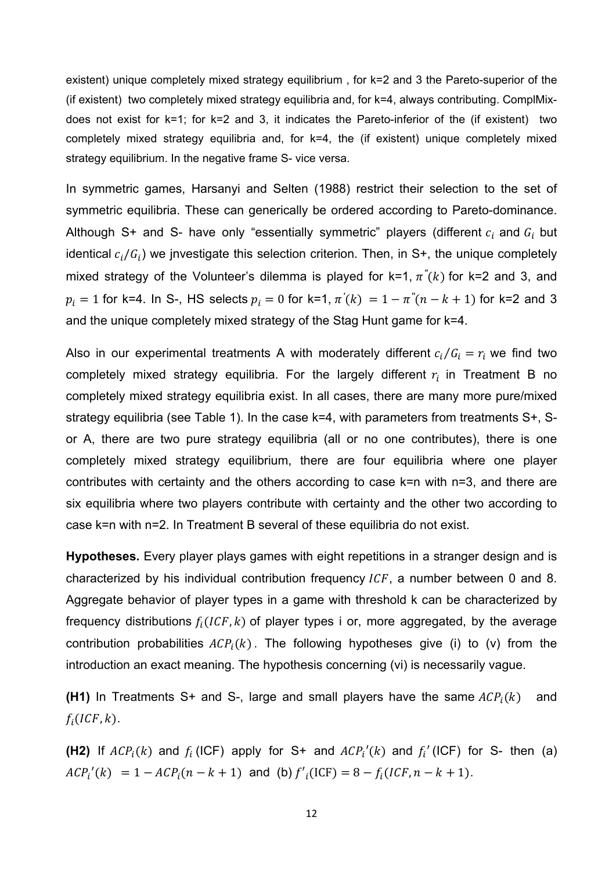existent) unique completely mixed strategy equilibrium , for k=2 and 3 the Pareto-superior of the (if existent) two completely mixed strategy equilibria and, for k=4, always contributing. ComplMixdoes not exist for k=1; for k=2 and 3, it indicates the Pareto-inferior of the (if existent) two completely mixed strategy equilibria and, for k=4, the (if existent) unique completely mixed strategy equilibrium. In the negative frame S- vice versa.

In symmetric games, Harsanyi and Selten (1988) restrict their selection to the set of symmetric equilibria. These can generically be ordered according to Pareto-dominance. Although S+ and S- have only "essentially symmetric" players (different  $c_i$  and  $G_i$  but identical  $c_i/G_i$ ) we jnvestigate this selection criterion. Then, in S+, the unique completely mixed strategy of the Volunteer's dilemma is played for  $k=1, \pi^{r}(k)$  for  $k=2$  and 3, and  $p_i = 1$  for k=4. In S-, HS selects  $p_i = 0$  for k=1,  $\pi'(k) = 1 - \pi''(n - k + 1)$  for k=2 and 3 and the unique completely mixed strategy of the Stag Hunt game for k=4.

Also in our experimental treatments A with moderately different  $c_i/G_i = r_i$  we find two completely mixed strategy equilibria. For the largely different  $r_i$  in Treatment B no completely mixed strategy equilibria exist. In all cases, there are many more pure/mixed strategy equilibria (see Table 1). In the case k=4, with parameters from treatments S+, Sor A, there are two pure strategy equilibria (all or no one contributes), there is one completely mixed strategy equilibrium, there are four equilibria where one player contributes with certainty and the others according to case k=n with n=3, and there are six equilibria where two players contribute with certainty and the other two according to case k=n with n=2. In Treatment B several of these equilibria do not exist.

**Hypotheses.** Every player plays games with eight repetitions in a stranger design and is characterized by his individual contribution frequency  $ICF$ , a number between 0 and 8. Aggregate behavior of player types in a game with threshold k can be characterized by frequency distributions  $f_i(ICF, k)$  of player types i or, more aggregated, by the average contribution probabilities  $ACP_i(k)$ . The following hypotheses give (i) to (v) from the introduction an exact meaning. The hypothesis concerning (vi) is necessarily vague.

**(H1)** In Treatments S+ and S-, large and small players have the same  $ACP_i(k)$  and  $f_i(ICF, k)$ .

**(H2)** If  $ACP_i(k)$  and  $f_i$  (ICF) apply for S+ and  $ACP_i'(k)$  and  $f_i'$  (ICF) for S- then (a)  $ACP_i'(k) = 1 - ACP_i(n - k + 1)$  and (b)  $f'_i(ICF) = 8 - f_i(ICF, n - k + 1)$ .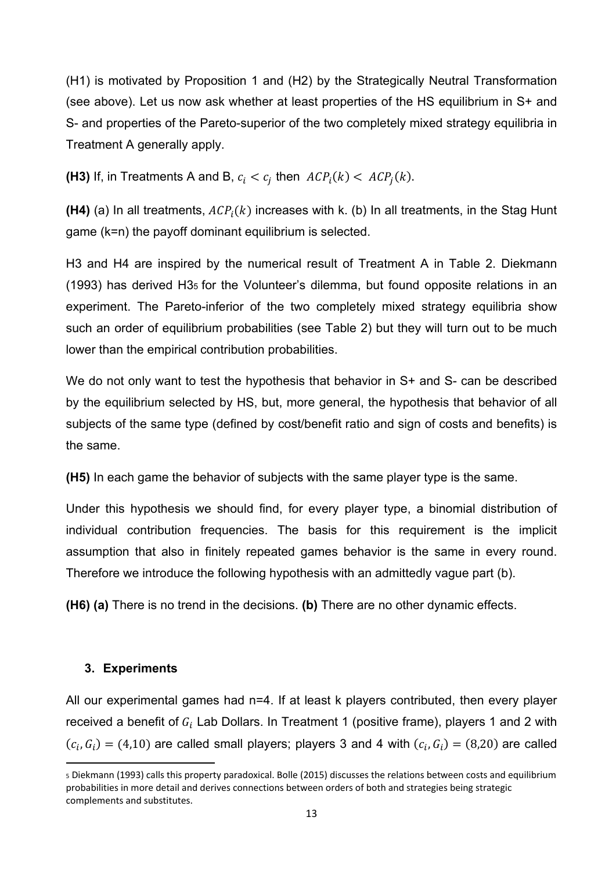(H1) is motivated by Proposition 1 and (H2) by the Strategically Neutral Transformation (see above). Let us now ask whether at least properties of the HS equilibrium in S+ and S- and properties of the Pareto-superior of the two completely mixed strategy equilibria in Treatment A generally apply.

**(H3)** If, in Treatments A and B,  $c_i < c_j$  then  $ACP_i(k) < ACP_i(k)$ .

**(H4)** (a) In all treatments,  $ACP_i(k)$  increases with k. (b) In all treatments, in the Stag Hunt game (k=n) the payoff dominant equilibrium is selected.

H3 and H4 are inspired by the numerical result of Treatment A in Table 2. Diekmann (1993) has derived H35 for the Volunteer's dilemma, but found opposite relations in an experiment. The Pareto-inferior of the two completely mixed strategy equilibria show such an order of equilibrium probabilities (see Table 2) but they will turn out to be much lower than the empirical contribution probabilities.

We do not only want to test the hypothesis that behavior in S+ and S- can be described by the equilibrium selected by HS, but, more general, the hypothesis that behavior of all subjects of the same type (defined by cost/benefit ratio and sign of costs and benefits) is the same.

**(H5)** In each game the behavior of subjects with the same player type is the same.

Under this hypothesis we should find, for every player type, a binomial distribution of individual contribution frequencies. The basis for this requirement is the implicit assumption that also in finitely repeated games behavior is the same in every round. Therefore we introduce the following hypothesis with an admittedly vague part (b).

**(H6) (a)** There is no trend in the decisions. **(b)** There are no other dynamic effects.

### **3. Experiments**

All our experimental games had n=4. If at least k players contributed, then every player received a benefit of  $G_i$  Lab Dollars. In Treatment 1 (positive frame), players 1 and 2 with  $(c_i, G_i) = (4,10)$  are called small players; players 3 and 4 with  $(c_i, G_i) = (8,20)$  are called

<sup>5</sup> Diekmann (1993) calls this property paradoxical. Bolle (2015) discusses the relations between costs and equilibrium probabilities in more detail and derives connections between orders of both and strategies being strategic complements and substitutes.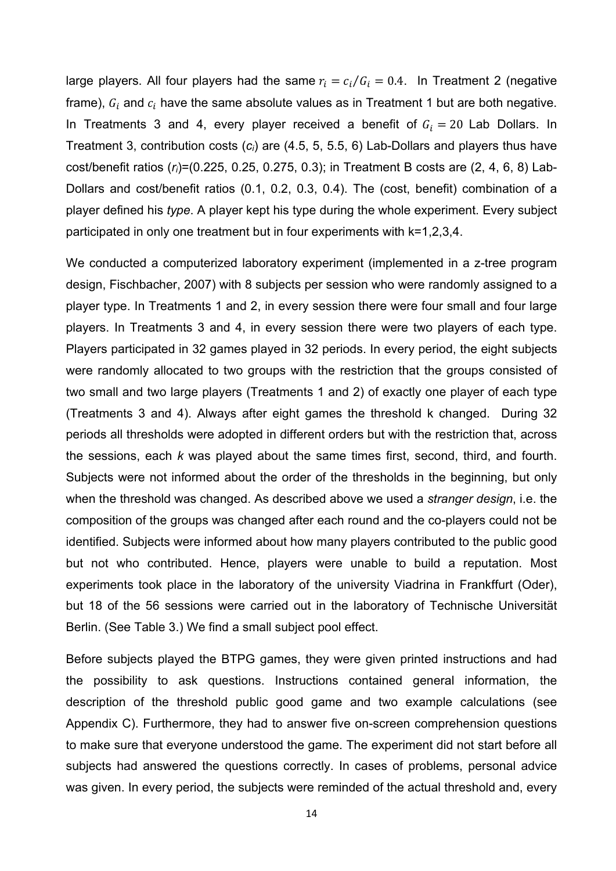large players. All four players had the same  $r_i = c_i/G_i = 0.4$ . In Treatment 2 (negative frame),  $G_i$  and  $c_i$  have the same absolute values as in Treatment 1 but are both negative. In Treatments 3 and 4, every player received a benefit of  $G_i = 20$  Lab Dollars. In Treatment 3, contribution costs (*ci*) are (4.5, 5, 5.5, 6) Lab-Dollars and players thus have cost/benefit ratios (*ri*)=(0.225, 0.25, 0.275, 0.3); in Treatment B costs are (2, 4, 6, 8) Lab-Dollars and cost/benefit ratios (0.1, 0.2, 0.3, 0.4). The (cost, benefit) combination of a player defined his *type*. A player kept his type during the whole experiment. Every subject participated in only one treatment but in four experiments with k=1,2,3,4.

We conducted a computerized laboratory experiment (implemented in a z-tree program design, Fischbacher, 2007) with 8 subjects per session who were randomly assigned to a player type. In Treatments 1 and 2, in every session there were four small and four large players. In Treatments 3 and 4, in every session there were two players of each type. Players participated in 32 games played in 32 periods. In every period, the eight subjects were randomly allocated to two groups with the restriction that the groups consisted of two small and two large players (Treatments 1 and 2) of exactly one player of each type (Treatments 3 and 4). Always after eight games the threshold k changed. During 32 periods all thresholds were adopted in different orders but with the restriction that, across the sessions, each *k* was played about the same times first, second, third, and fourth. Subjects were not informed about the order of the thresholds in the beginning, but only when the threshold was changed. As described above we used a *stranger design*, i.e. the composition of the groups was changed after each round and the co-players could not be identified. Subjects were informed about how many players contributed to the public good but not who contributed. Hence, players were unable to build a reputation. Most experiments took place in the laboratory of the university Viadrina in Frankffurt (Oder), but 18 of the 56 sessions were carried out in the laboratory of Technische Universität Berlin. (See Table 3.) We find a small subject pool effect.

Before subjects played the BTPG games, they were given printed instructions and had the possibility to ask questions. Instructions contained general information, the description of the threshold public good game and two example calculations (see Appendix C). Furthermore, they had to answer five on-screen comprehension questions to make sure that everyone understood the game. The experiment did not start before all subjects had answered the questions correctly. In cases of problems, personal advice was given. In every period, the subjects were reminded of the actual threshold and, every

14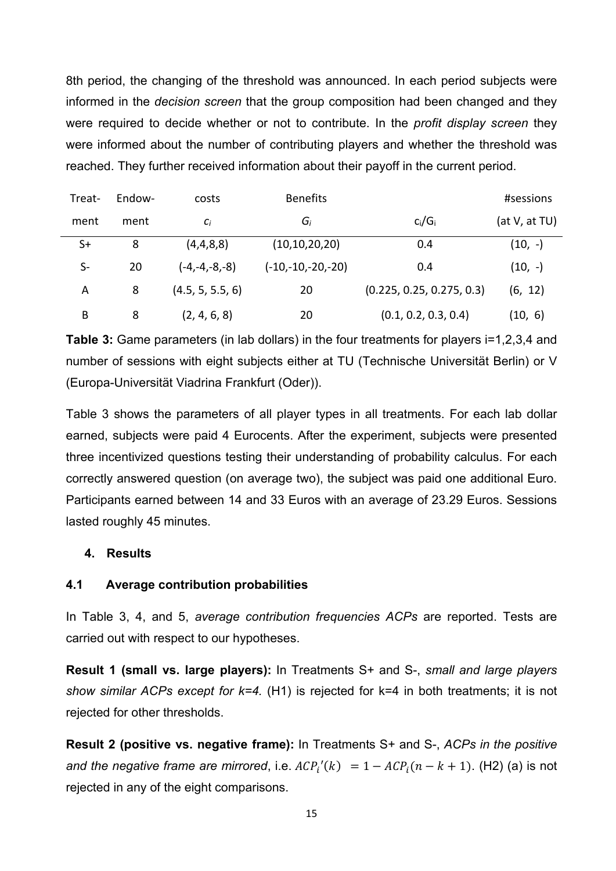8th period, the changing of the threshold was announced. In each period subjects were informed in the *decision screen* that the group composition had been changed and they were required to decide whether or not to contribute. In the *profit display screen* they were informed about the number of contributing players and whether the threshold was reached. They further received information about their payoff in the current period.

| Treat- | Endow- | costs            | <b>Benefits</b>     |                           | #sessions     |
|--------|--------|------------------|---------------------|---------------------------|---------------|
| ment   | ment   | $C_i$            | Gi                  | $c_i/G_i$                 | (at V, at TU) |
| $S+$   | 8      | (4,4,8,8)        | (10, 10, 20, 20)    | 0.4                       | $(10, -)$     |
| S-     | 20     | $(-4,-4,-8,-8)$  | $(-10,-10,-20,-20)$ | 0.4                       | $(10, -)$     |
| Α      | 8      | (4.5, 5, 5.5, 6) | 20                  | (0.225, 0.25, 0.275, 0.3) | (6, 12)       |
| B      | 8      | (2, 4, 6, 8)     | 20                  | (0.1, 0.2, 0.3, 0.4)      | (10, 6)       |

**Table 3:** Game parameters (in lab dollars) in the four treatments for players i=1,2,3,4 and number of sessions with eight subjects either at TU (Technische Universität Berlin) or V (Europa-Universität Viadrina Frankfurt (Oder)).

Table 3 shows the parameters of all player types in all treatments. For each lab dollar earned, subjects were paid 4 Eurocents. After the experiment, subjects were presented three incentivized questions testing their understanding of probability calculus. For each correctly answered question (on average two), the subject was paid one additional Euro. Participants earned between 14 and 33 Euros with an average of 23.29 Euros. Sessions lasted roughly 45 minutes.

### **4. Results**

### **4.1 Average contribution probabilities**

In Table 3, 4, and 5, *average contribution frequencies ACPs* are reported. Tests are carried out with respect to our hypotheses.

**Result 1 (small vs. large players):** In Treatments S+ and S-, *small and large players show similar ACPs except for k=4.* (H1) is rejected for k=4 in both treatments; it is not rejected for other thresholds.

**Result 2 (positive vs. negative frame):** In Treatments S+ and S-, *ACPs in the positive and the negative frame are mirrored*, i.e.  $ACP_i'(k) = 1 - ACP_i(n - k + 1)$ . (H2) (a) is not rejected in any of the eight comparisons.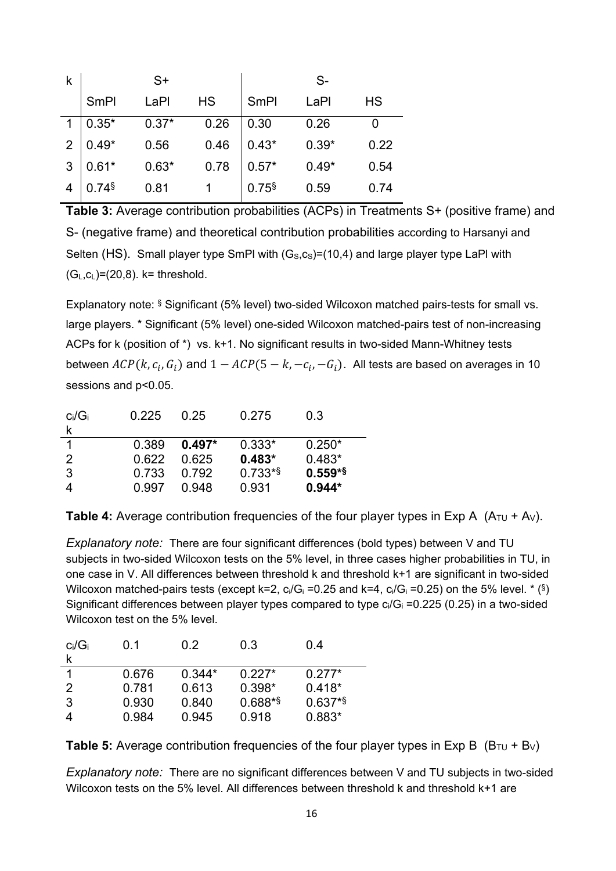| k |                     | $S+$    |           |                     | $S-$    |           |
|---|---------------------|---------|-----------|---------------------|---------|-----------|
|   | <b>SmPI</b>         | LaPI    | <b>HS</b> | <b>SmPl</b>         | LaPl    | <b>HS</b> |
|   | $0.35*$             | $0.37*$ | 0.26      | 0.30                | 0.26    |           |
| 2 | $0.49*$             | 0.56    | 0.46      | $0.43*$             | $0.39*$ | 0.22      |
| 3 | $0.61*$             | $0.63*$ | 0.78      | $0.57*$             | $0.49*$ | 0.54      |
|   | $0.74$ <sup>§</sup> | 0.81    |           | $0.75$ <sup>§</sup> | 0.59    | 0.74      |

**Table 3:** Average contribution probabilities (ACPs) in Treatments S+ (positive frame) and S- (negative frame) and theoretical contribution probabilities according to Harsanyi and Selten (HS). Small player type SmPI with  $(G<sub>s</sub>,c<sub>s</sub>)=(10,4)$  and large player type LaPI with  $(G_L, C_L) = (20, 8)$ . k= threshold.

Explanatory note: § Significant (5% level) two-sided Wilcoxon matched pairs-tests for small vs. large players. \* Significant (5% level) one-sided Wilcoxon matched-pairs test of non-increasing ACPs for k (position of \*) vs. k+1. No significant results in two-sided Mann-Whitney tests between  $ACP(k, c_i, G_i)$  and  $1 - ACP(5 - k, -c_i, -G_i)$ . All tests are based on averages in 10 sessions and p<0.05.

| $c_i/G_i$<br>k | 0.225 | 0.25     | 0.275     | 0.3       |
|----------------|-------|----------|-----------|-----------|
| 1              | 0.389 | $0.497*$ | $0.333*$  | $0.250*$  |
| 2              | 0 622 | 0 625    | $0.483*$  | $0.483*$  |
| 3              | 0.733 | 0.792    | $0.733**$ | $0.559**$ |
| 4              | 0.997 | 0.948    | 0.931     | $0.944*$  |

**Table 4:** Average contribution frequencies of the four player types in Exp A  $(A_{\text{TU}} + A_{\text{V}})$ .

*Explanatory note:* There are four significant differences (bold types) between V and TU subjects in two-sided Wilcoxon tests on the 5% level, in three cases higher probabilities in TU, in one case in V. All differences between threshold k and threshold k+1 are significant in two-sided Wilcoxon matched-pairs tests (except k=2,  $c_i/G_i = 0.25$  and k=4,  $c_i/G_i = 0.25$ ) on the 5% level.  $*(\S)$ Significant differences between player types compared to type  $c_i/G_i = 0.225$  (0.25) in a two-sided Wilcoxon test on the 5% level.

| $c_i/G_i$     | 0 <sub>1</sub> | 0.2      | 0.3       | 0.4      |
|---------------|----------------|----------|-----------|----------|
|               |                |          |           |          |
|               | 0.676          | $0.344*$ | $0.227*$  | $0.277*$ |
| $\mathcal{P}$ | 0.781          | 0.613    | $0.398*$  | $0.418*$ |
| 3             | 0.930          | 0.840    | $0.688**$ | $0.637*$ |
|               | 0.984          | 0.945    | 0.918     | 0.883*   |

**Table 5:** Average contribution frequencies of the four player types in Exp B  $(B_{\text{TU}} + B_{\text{V}})$ 

*Explanatory note:* There are no significant differences between V and TU subjects in two-sided Wilcoxon tests on the 5% level. All differences between threshold k and threshold k+1 are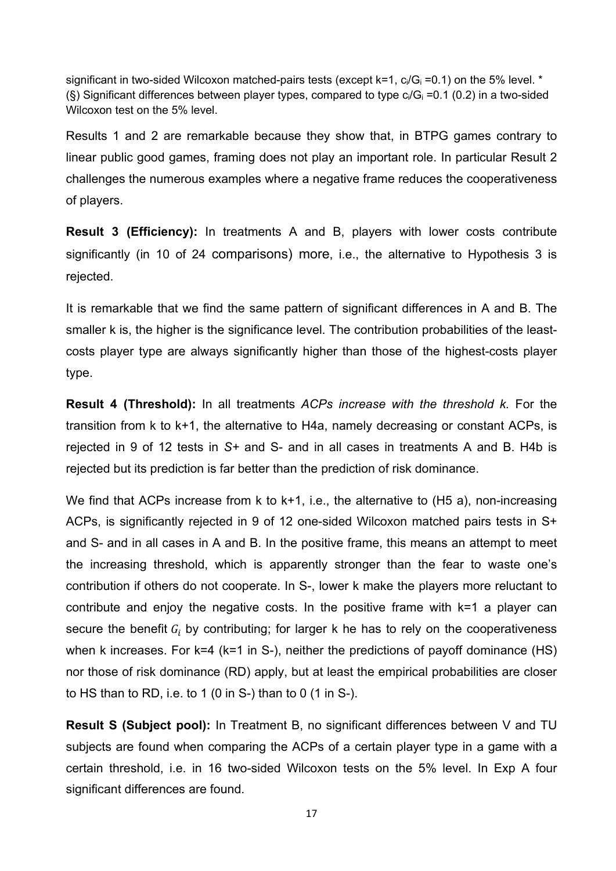significant in two-sided Wilcoxon matched-pairs tests (except  $k=1$ ,  $c_i/G_i = 0.1$ ) on the 5% level. \* (§) Significant differences between player types, compared to type  $c_i/G_i = 0.1$  (0.2) in a two-sided Wilcoxon test on the 5% level.

Results 1 and 2 are remarkable because they show that, in BTPG games contrary to linear public good games, framing does not play an important role. In particular Result 2 challenges the numerous examples where a negative frame reduces the cooperativeness of players.

**Result 3 (Efficiency):** In treatments A and B, players with lower costs contribute significantly (in 10 of 24 comparisons) more, i.e., the alternative to Hypothesis 3 is rejected.

It is remarkable that we find the same pattern of significant differences in A and B. The smaller k is, the higher is the significance level. The contribution probabilities of the leastcosts player type are always significantly higher than those of the highest-costs player type.

**Result 4 (Threshold):** In all treatments *ACPs increase with the threshold k.* For the transition from k to k+1, the alternative to H4a, namely decreasing or constant ACPs, is rejected in 9 of 12 tests in *S+* and S- and in all cases in treatments A and B. H4b is rejected but its prediction is far better than the prediction of risk dominance.

We find that ACPs increase from k to k+1, i.e., the alternative to (H5 a), non-increasing ACPs, is significantly rejected in 9 of 12 one-sided Wilcoxon matched pairs tests in S+ and S- and in all cases in A and B. In the positive frame, this means an attempt to meet the increasing threshold, which is apparently stronger than the fear to waste one's contribution if others do not cooperate. In S-, lower k make the players more reluctant to contribute and enjoy the negative costs. In the positive frame with k=1 a player can secure the benefit  $G_i$  by contributing; for larger k he has to rely on the cooperativeness when k increases. For k=4 (k=1 in S-), neither the predictions of payoff dominance (HS) nor those of risk dominance (RD) apply, but at least the empirical probabilities are closer to HS than to RD, i.e. to 1 (0 in S-) than to 0 (1 in S-).

**Result S (Subject pool):** In Treatment B, no significant differences between V and TU subjects are found when comparing the ACPs of a certain player type in a game with a certain threshold, i.e. in 16 two-sided Wilcoxon tests on the 5% level. In Exp A four significant differences are found.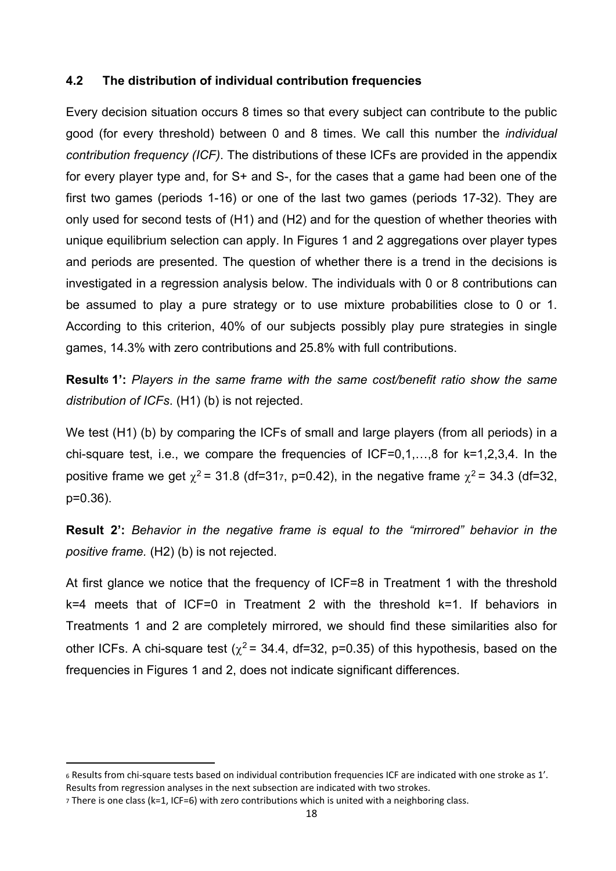#### **4.2 The distribution of individual contribution frequencies**

Every decision situation occurs 8 times so that every subject can contribute to the public good (for every threshold) between 0 and 8 times. We call this number the *individual contribution frequency (ICF)*. The distributions of these ICFs are provided in the appendix for every player type and, for S+ and S-, for the cases that a game had been one of the first two games (periods 1-16) or one of the last two games (periods 17-32). They are only used for second tests of (H1) and (H2) and for the question of whether theories with unique equilibrium selection can apply. In Figures 1 and 2 aggregations over player types and periods are presented. The question of whether there is a trend in the decisions is investigated in a regression analysis below. The individuals with 0 or 8 contributions can be assumed to play a pure strategy or to use mixture probabilities close to 0 or 1. According to this criterion, 40% of our subjects possibly play pure strategies in single games, 14.3% with zero contributions and 25.8% with full contributions.

**Result6 1':** *Players in the same frame with the same cost/benefit ratio show the same distribution of ICFs*. (H1) (b) is not rejected.

We test (H1) (b) by comparing the ICFs of small and large players (from all periods) in a chi-square test, i.e., we compare the frequencies of ICF=0,1,…,8 for k=1,2,3,4. In the positive frame we get  $\chi^2$  = 31.8 (df=317, p=0.42), in the negative frame  $\chi^2$  = 34.3 (df=32, p=0.36).

**Result 2':** *Behavior in the negative frame is equal to the "mirrored" behavior in the positive frame.* (H2) (b) is not rejected.

At first glance we notice that the frequency of ICF=8 in Treatment 1 with the threshold k=4 meets that of ICF=0 in Treatment 2 with the threshold k=1. If behaviors in Treatments 1 and 2 are completely mirrored, we should find these similarities also for other ICFs. A chi-square test ( $\chi^2$  = 34.4, df=32, p=0.35) of this hypothesis, based on the frequencies in Figures 1 and 2, does not indicate significant differences.

<sup>6</sup> Results from chi‐square tests based on individual contribution frequencies ICF are indicated with one stroke as 1'. Results from regression analyses in the next subsection are indicated with two strokes.

<sup>7</sup> There is one class (k=1, ICF=6) with zero contributions which is united with a neighboring class.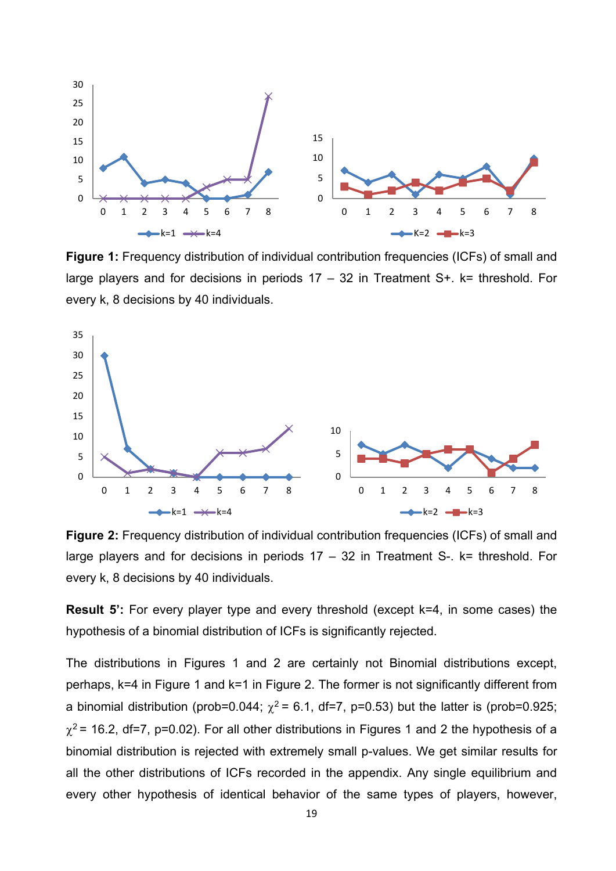

**Figure 1:** Frequency distribution of individual contribution frequencies (ICFs) of small and large players and for decisions in periods  $17 - 32$  in Treatment S+. k= threshold. For every k, 8 decisions by 40 individuals.



**Figure 2:** Frequency distribution of individual contribution frequencies (ICFs) of small and large players and for decisions in periods  $17 - 32$  in Treatment S-. k= threshold. For every k, 8 decisions by 40 individuals.

**Result 5':** For every player type and every threshold (except k=4, in some cases) the hypothesis of a binomial distribution of ICFs is significantly rejected.

The distributions in Figures 1 and 2 are certainly not Binomial distributions except, perhaps, k=4 in Figure 1 and k=1 in Figure 2. The former is not significantly different from a binomial distribution (prob=0.044;  $\chi^2$  = 6.1, df=7, p=0.53) but the latter is (prob=0.925;  $\gamma^2$  = 16.2, df=7, p=0.02). For all other distributions in Figures 1 and 2 the hypothesis of a binomial distribution is rejected with extremely small p-values. We get similar results for all the other distributions of ICFs recorded in the appendix. Any single equilibrium and every other hypothesis of identical behavior of the same types of players, however,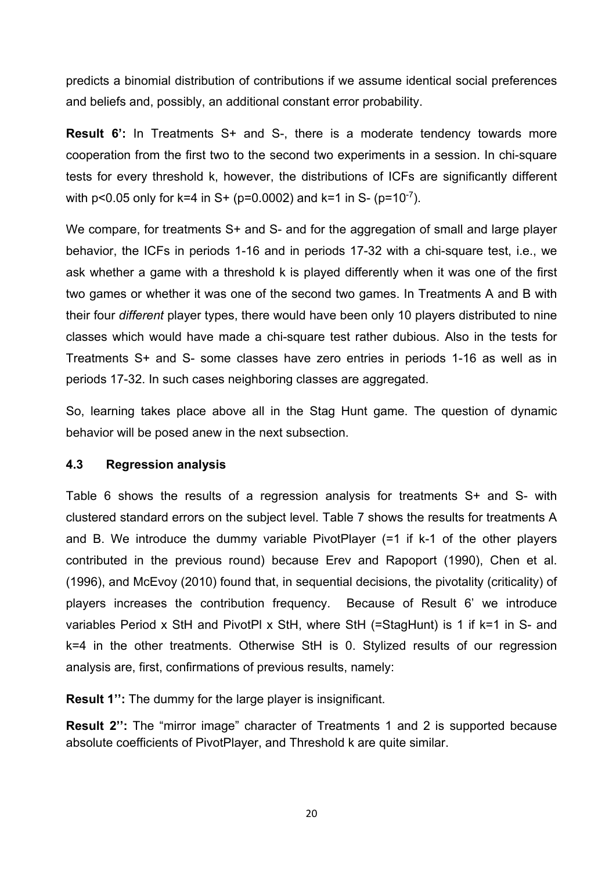predicts a binomial distribution of contributions if we assume identical social preferences and beliefs and, possibly, an additional constant error probability.

**Result 6':** In Treatments S+ and S-, there is a moderate tendency towards more cooperation from the first two to the second two experiments in a session. In chi-square tests for every threshold k, however, the distributions of ICFs are significantly different with  $p < 0.05$  only for k=4 in S+ ( $p = 0.0002$ ) and k=1 in S- ( $p = 10^{-7}$ ).

We compare, for treatments S+ and S- and for the aggregation of small and large player behavior, the ICFs in periods 1-16 and in periods 17-32 with a chi-square test, i.e., we ask whether a game with a threshold k is played differently when it was one of the first two games or whether it was one of the second two games. In Treatments A and B with their four *different* player types, there would have been only 10 players distributed to nine classes which would have made a chi-square test rather dubious. Also in the tests for Treatments S+ and S- some classes have zero entries in periods 1-16 as well as in periods 17-32. In such cases neighboring classes are aggregated.

So, learning takes place above all in the Stag Hunt game. The question of dynamic behavior will be posed anew in the next subsection.

#### **4.3 Regression analysis**

Table 6 shows the results of a regression analysis for treatments S+ and S- with clustered standard errors on the subject level. Table 7 shows the results for treatments A and B. We introduce the dummy variable PivotPlayer (=1 if k-1 of the other players contributed in the previous round) because Erev and Rapoport (1990), Chen et al. (1996), and McEvoy (2010) found that, in sequential decisions, the pivotality (criticality) of players increases the contribution frequency. Because of Result 6' we introduce variables Period x StH and PivotPl x StH, where StH (=StagHunt) is 1 if k=1 in S- and k=4 in the other treatments. Otherwise StH is 0. Stylized results of our regression analysis are, first, confirmations of previous results, namely:

**Result 1'':** The dummy for the large player is insignificant.

**Result 2'':** The "mirror image" character of Treatments 1 and 2 is supported because absolute coefficients of PivotPlayer, and Threshold k are quite similar.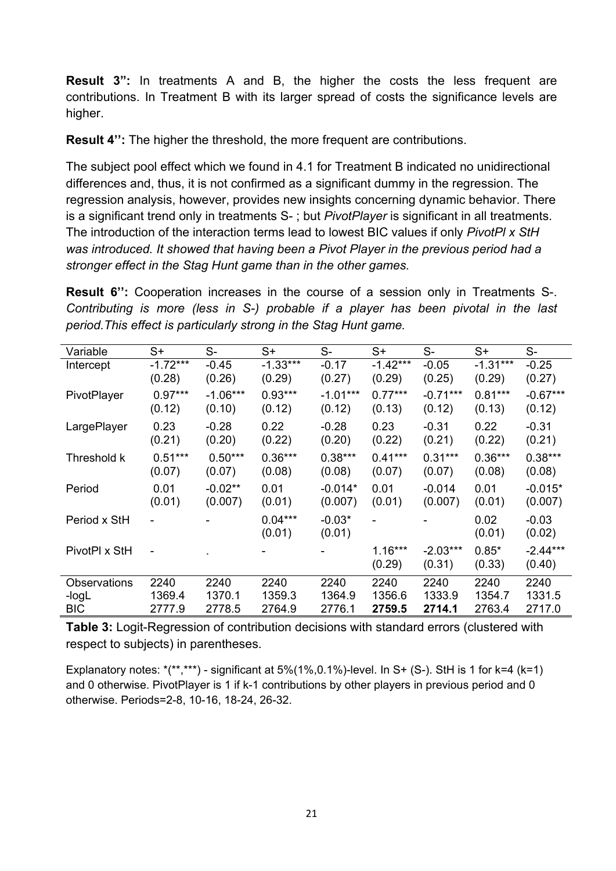**Result 3":** In treatments A and B, the higher the costs the less frequent are contributions. In Treatment B with its larger spread of costs the significance levels are higher.

**Result 4'':** The higher the threshold, the more frequent are contributions.

The subject pool effect which we found in 4.1 for Treatment B indicated no unidirectional differences and, thus, it is not confirmed as a significant dummy in the regression. The regression analysis, however, provides new insights concerning dynamic behavior. There is a significant trend only in treatments S- ; but *PivotPlayer* is significant in all treatments. The introduction of the interaction terms lead to lowest BIC values if only *PivotPl x StH was introduced. It showed that having been a Pivot Player in the previous period had a stronger effect in the Stag Hunt game than in the other games.*

**Result 6'':** Cooperation increases in the course of a session only in Treatments S-. *Contributing is more (less in S-) probable if a player has been pivotal in the last period.This effect is particularly strong in the Stag Hunt game.* 

| Variable            | $S+$           | S-         | $S+$                | $S-$               | $S+$                | $S-$                 | $S+$              | $S-$                 |
|---------------------|----------------|------------|---------------------|--------------------|---------------------|----------------------|-------------------|----------------------|
| Intercept           | $-1.72***$     | $-0.45$    | $-1.33***$          | $-0.17$            | $-1.42***$          | $-0.05$              | $-1.31***$        | $-0.25$              |
|                     | (0.28)         | (0.26)     | (0.29)              | (0.27)             | (0.29)              | (0.25)               | (0.29)            | (0.27)               |
| PivotPlayer         | $0.97***$      | $-1.06***$ | $0.93***$           | $-1.01***$         | $0.77***$           | $-0.71***$           | $0.81***$         | $-0.67***$           |
|                     | (0.12)         | (0.10)     | (0.12)              | (0.12)             | (0.13)              | (0.12)               | (0.13)            | (0.12)               |
| LargePlayer         | 0.23           | $-0.28$    | 0.22                | $-0.28$            | 0.23                | $-0.31$              | 0.22              | $-0.31$              |
|                     | (0.21)         | (0.20)     | (0.22)              | (0.20)             | (0.22)              | (0.21)               | (0.22)            | (0.21)               |
| Threshold k         | $0.51***$      | $0.50***$  | $0.36***$           | $0.38***$          | $0.41***$           | $0.31***$            | $0.36***$         | $0.38***$            |
|                     | (0.07)         | (0.07)     | (0.08)              | (0.08)             | (0.07)              | (0.07)               | (0.08)            | (0.08)               |
| Period              | 0.01           | $-0.02**$  | 0.01                | $-0.014*$          | 0.01                | $-0.014$             | 0.01              | $-0.015*$            |
|                     | (0.01)         | (0.007)    | (0.01)              | (0.007)            | (0.01)              | (0.007)              | (0.01)            | (0.007)              |
| Period x StH        | $\blacksquare$ |            | $0.04***$<br>(0.01) | $-0.03*$<br>(0.01) |                     |                      | 0.02<br>(0.01)    | $-0.03$<br>(0.02)    |
| PivotPl x StH       |                |            |                     |                    | $1.16***$<br>(0.29) | $-2.03***$<br>(0.31) | $0.85*$<br>(0.33) | $-2.44***$<br>(0.40) |
| <b>Observations</b> | 2240           | 2240       | 2240                | 2240               | 2240                | 2240                 | 2240              | 2240                 |
| -logL               | 1369.4         | 1370.1     | 1359.3              | 1364.9             | 1356.6              | 1333.9               | 1354.7            | 1331.5               |
| <b>BIC</b>          | 2777.9         | 2778.5     | 2764.9              | 2776.1             | 2759.5              | 2714.1               | 2763.4            | 2717.0               |

**Table 3:** Logit-Regression of contribution decisions with standard errors (clustered with respect to subjects) in parentheses.

Explanatory notes:  $*(**,***)$  - significant at 5%(1%,0.1%)-level. In S+ (S-). StH is 1 for k=4 (k=1) and 0 otherwise. PivotPlayer is 1 if k-1 contributions by other players in previous period and 0 otherwise. Periods=2-8, 10-16, 18-24, 26-32.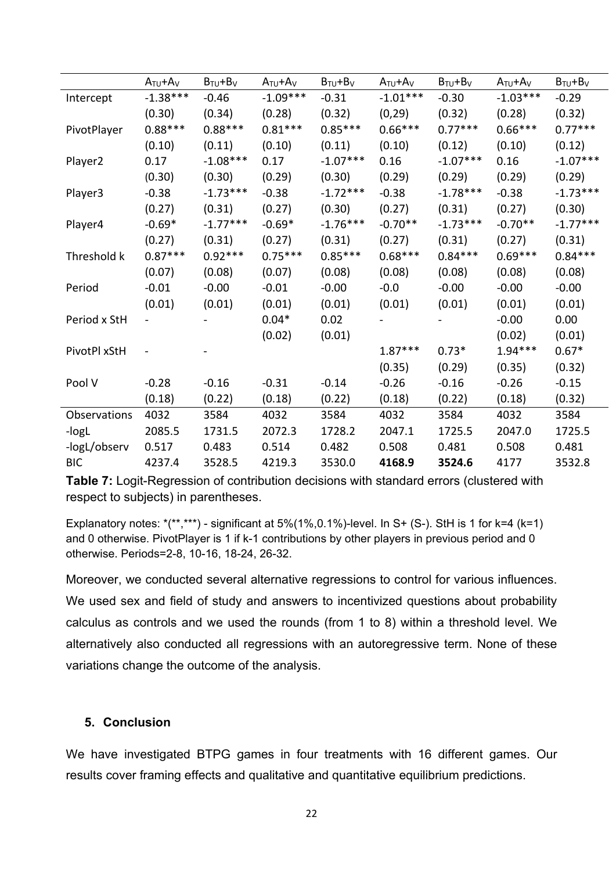|                     | $A_{TU}+A_V$ | $B_{TU} + B_V$ | $A_{\text{TU}}+A_{\text{V}}$ | $B_{TU} + B_V$ | $A_{TU}+A_V$ | $B_{TU} + B_V$ | $A_{TU}+A_V$ | $B_{TU}+B_V$ |
|---------------------|--------------|----------------|------------------------------|----------------|--------------|----------------|--------------|--------------|
| Intercept           | $-1.38***$   | $-0.46$        | $-1.09***$                   | $-0.31$        | $-1.01***$   | $-0.30$        | $-1.03***$   | $-0.29$      |
|                     | (0.30)       | (0.34)         | (0.28)                       | (0.32)         | (0, 29)      | (0.32)         | (0.28)       | (0.32)       |
| PivotPlayer         | $0.88***$    | $0.88***$      | $0.81***$                    | $0.85***$      | $0.66***$    | $0.77***$      | $0.66***$    | $0.77***$    |
|                     | (0.10)       | (0.11)         | (0.10)                       | (0.11)         | (0.10)       | (0.12)         | (0.10)       | (0.12)       |
| Player <sub>2</sub> | 0.17         | $-1.08***$     | 0.17                         | $-1.07***$     | 0.16         | $-1.07***$     | 0.16         | $-1.07***$   |
|                     | (0.30)       | (0.30)         | (0.29)                       | (0.30)         | (0.29)       | (0.29)         | (0.29)       | (0.29)       |
| Player3             | $-0.38$      | $-1.73***$     | $-0.38$                      | $-1.72***$     | $-0.38$      | $-1.78***$     | $-0.38$      | $-1.73***$   |
|                     | (0.27)       | (0.31)         | (0.27)                       | (0.30)         | (0.27)       | (0.31)         | (0.27)       | (0.30)       |
| Player4             | $-0.69*$     | $-1.77***$     | $-0.69*$                     | $-1.76***$     | $-0.70**$    | $-1.73***$     | $-0.70**$    | $-1.77***$   |
|                     | (0.27)       | (0.31)         | (0.27)                       | (0.31)         | (0.27)       | (0.31)         | (0.27)       | (0.31)       |
| Threshold k         | $0.87***$    | $0.92***$      | $0.75***$                    | $0.85***$      | $0.68***$    | $0.84***$      | $0.69***$    | $0.84***$    |
|                     | (0.07)       | (0.08)         | (0.07)                       | (0.08)         | (0.08)       | (0.08)         | (0.08)       | (0.08)       |
| Period              | $-0.01$      | $-0.00$        | $-0.01$                      | $-0.00$        | $-0.0$       | $-0.00$        | $-0.00$      | $-0.00$      |
|                     | (0.01)       | (0.01)         | (0.01)                       | (0.01)         | (0.01)       | (0.01)         | (0.01)       | (0.01)       |
| Period x StH        |              |                | $0.04*$                      | 0.02           |              |                | $-0.00$      | 0.00         |
|                     |              |                | (0.02)                       | (0.01)         |              |                | (0.02)       | (0.01)       |
| PivotPl xStH        |              |                |                              |                | $1.87***$    | $0.73*$        | $1.94***$    | $0.67*$      |
|                     |              |                |                              |                | (0.35)       | (0.29)         | (0.35)       | (0.32)       |
| Pool V              | $-0.28$      | $-0.16$        | $-0.31$                      | $-0.14$        | $-0.26$      | $-0.16$        | $-0.26$      | $-0.15$      |
|                     | (0.18)       | (0.22)         | (0.18)                       | (0.22)         | (0.18)       | (0.22)         | (0.18)       | (0.32)       |
| Observations        | 4032         | 3584           | 4032                         | 3584           | 4032         | 3584           | 4032         | 3584         |
| -logL               | 2085.5       | 1731.5         | 2072.3                       | 1728.2         | 2047.1       | 1725.5         | 2047.0       | 1725.5       |
| -logL/observ        | 0.517        | 0.483          | 0.514                        | 0.482          | 0.508        | 0.481          | 0.508        | 0.481        |
| <b>BIC</b>          | 4237.4       | 3528.5         | 4219.3                       | 3530.0         | 4168.9       | 3524.6         | 4177         | 3532.8       |

**Table 7:** Logit-Regression of contribution decisions with standard errors (clustered with respect to subjects) in parentheses.

Explanatory notes:  $*(**,***)$  - significant at 5%(1%,0.1%)-level. In S+ (S-). StH is 1 for k=4 (k=1) and 0 otherwise. PivotPlayer is 1 if k-1 contributions by other players in previous period and 0 otherwise. Periods=2-8, 10-16, 18-24, 26-32.

Moreover, we conducted several alternative regressions to control for various influences. We used sex and field of study and answers to incentivized questions about probability calculus as controls and we used the rounds (from 1 to 8) within a threshold level. We alternatively also conducted all regressions with an autoregressive term. None of these variations change the outcome of the analysis.

#### **5. Conclusion**

We have investigated BTPG games in four treatments with 16 different games. Our results cover framing effects and qualitative and quantitative equilibrium predictions.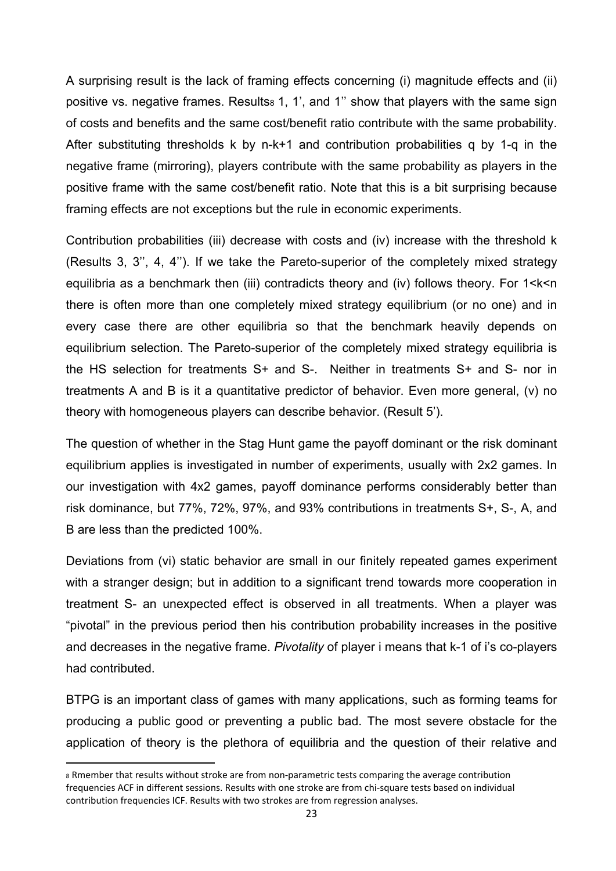A surprising result is the lack of framing effects concerning (i) magnitude effects and (ii) positive vs. negative frames. Results<sub>8</sub> 1, 1', and 1" show that players with the same sign of costs and benefits and the same cost/benefit ratio contribute with the same probability. After substituting thresholds k by n-k+1 and contribution probabilities q by 1-q in the negative frame (mirroring), players contribute with the same probability as players in the positive frame with the same cost/benefit ratio. Note that this is a bit surprising because framing effects are not exceptions but the rule in economic experiments.

Contribution probabilities (iii) decrease with costs and (iv) increase with the threshold k (Results 3, 3'', 4, 4''). If we take the Pareto-superior of the completely mixed strategy equilibria as a benchmark then (iii) contradicts theory and (iv) follows theory. For 1<k<n there is often more than one completely mixed strategy equilibrium (or no one) and in every case there are other equilibria so that the benchmark heavily depends on equilibrium selection. The Pareto-superior of the completely mixed strategy equilibria is the HS selection for treatments S+ and S-. Neither in treatments S+ and S- nor in treatments A and B is it a quantitative predictor of behavior. Even more general, (v) no theory with homogeneous players can describe behavior. (Result 5').

The question of whether in the Stag Hunt game the payoff dominant or the risk dominant equilibrium applies is investigated in number of experiments, usually with 2x2 games. In our investigation with 4x2 games, payoff dominance performs considerably better than risk dominance, but 77%, 72%, 97%, and 93% contributions in treatments S+, S-, A, and B are less than the predicted 100%.

Deviations from (vi) static behavior are small in our finitely repeated games experiment with a stranger design; but in addition to a significant trend towards more cooperation in treatment S- an unexpected effect is observed in all treatments. When a player was "pivotal" in the previous period then his contribution probability increases in the positive and decreases in the negative frame. *Pivotality* of player i means that k-1 of i's co-players had contributed.

BTPG is an important class of games with many applications, such as forming teams for producing a public good or preventing a public bad. The most severe obstacle for the application of theory is the plethora of equilibria and the question of their relative and

<sup>8</sup> Rmember that results without stroke are from non-parametric tests comparing the average contribution frequencies ACF in different sessions. Results with one stroke are from chi-square tests based on individual contribution frequencies ICF. Results with two strokes are from regression analyses.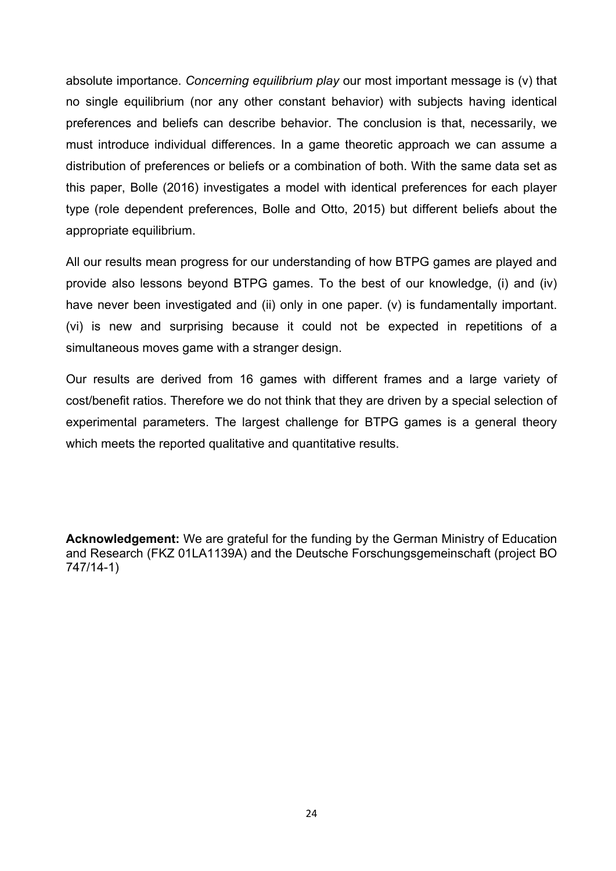absolute importance. *Concerning equilibrium play* our most important message is (v) that no single equilibrium (nor any other constant behavior) with subjects having identical preferences and beliefs can describe behavior. The conclusion is that, necessarily, we must introduce individual differences. In a game theoretic approach we can assume a distribution of preferences or beliefs or a combination of both. With the same data set as this paper, Bolle (2016) investigates a model with identical preferences for each player type (role dependent preferences, Bolle and Otto, 2015) but different beliefs about the appropriate equilibrium.

All our results mean progress for our understanding of how BTPG games are played and provide also lessons beyond BTPG games. To the best of our knowledge, (i) and (iv) have never been investigated and (ii) only in one paper. (v) is fundamentally important. (vi) is new and surprising because it could not be expected in repetitions of a simultaneous moves game with a stranger design.

Our results are derived from 16 games with different frames and a large variety of cost/benefit ratios. Therefore we do not think that they are driven by a special selection of experimental parameters. The largest challenge for BTPG games is a general theory which meets the reported qualitative and quantitative results.

**Acknowledgement:** We are grateful for the funding by the German Ministry of Education and Research (FKZ 01LA1139A) and the Deutsche Forschungsgemeinschaft (project BO 747/14-1)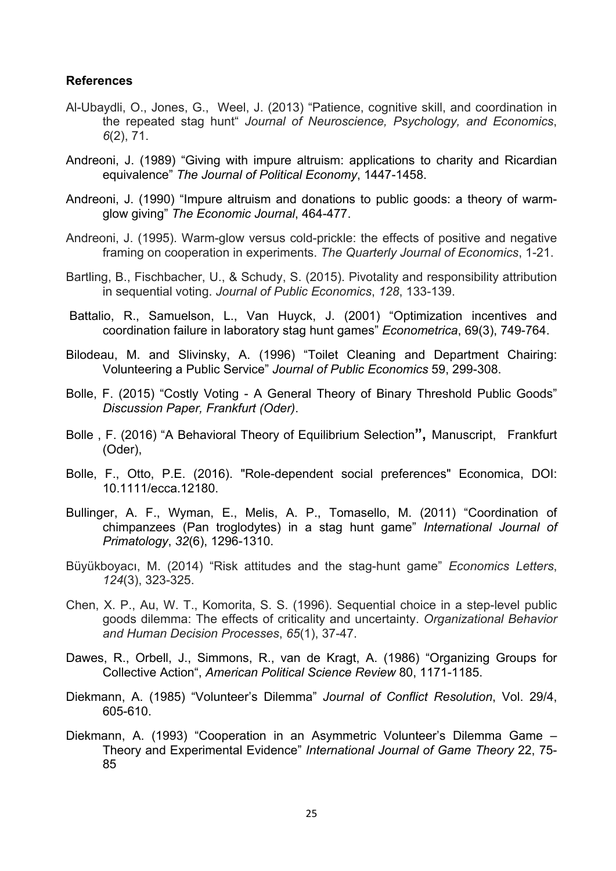#### **References**

- Al-Ubaydli, O., Jones, G., Weel, J. (2013) "Patience, cognitive skill, and coordination in the repeated stag hunt" *Journal of Neuroscience, Psychology, and Economics*, *6*(2), 71.
- Andreoni, J. (1989) "Giving with impure altruism: applications to charity and Ricardian equivalence" *The Journal of Political Economy*, 1447-1458.
- Andreoni, J. (1990) "Impure altruism and donations to public goods: a theory of warmglow giving" *The Economic Journal*, 464-477.
- Andreoni, J. (1995). Warm-glow versus cold-prickle: the effects of positive and negative framing on cooperation in experiments. *The Quarterly Journal of Economics*, 1-21.
- Bartling, B., Fischbacher, U., & Schudy, S. (2015). Pivotality and responsibility attribution in sequential voting. *Journal of Public Economics*, *128*, 133-139.
- Battalio, R., Samuelson, L., Van Huyck, J. (2001) "Optimization incentives and coordination failure in laboratory stag hunt games" *Econometrica*, 69(3), 749-764.
- Bilodeau, M. and Slivinsky, A. (1996) "Toilet Cleaning and Department Chairing: Volunteering a Public Service" *Journal of Public Economics* 59, 299-308.
- Bolle, F. (2015) "Costly Voting A General Theory of Binary Threshold Public Goods" *Discussion Paper, Frankfurt (Oder)*.
- Bolle , F. (2016) "A Behavioral Theory of Equilibrium Selection**",** Manuscript,Frankfurt (Oder),
- Bolle, F., Otto, P.E. (2016). "Role-dependent social preferences" Economica, DOI: 10.1111/ecca.12180.
- Bullinger, A. F., Wyman, E., Melis, A. P., Tomasello, M. (2011) "Coordination of chimpanzees (Pan troglodytes) in a stag hunt game" *International Journal of Primatology*, *32*(6), 1296-1310.
- Büyükboyacı, M. (2014) "Risk attitudes and the stag-hunt game" *Economics Letters*, *124*(3), 323-325.
- Chen, X. P., Au, W. T., Komorita, S. S. (1996). Sequential choice in a step-level public goods dilemma: The effects of criticality and uncertainty. *Organizational Behavior and Human Decision Processes*, *65*(1), 37-47.
- Dawes, R., Orbell, J., Simmons, R., van de Kragt, A. (1986) "Organizing Groups for Collective Action", *American Political Science Review* 80, 1171-1185.
- Diekmann, A. (1985) "Volunteer's Dilemma" *Journal of Conflict Resolution*, Vol. 29/4, 605-610.
- Diekmann, A. (1993) "Cooperation in an Asymmetric Volunteer's Dilemma Game Theory and Experimental Evidence" *International Journal of Game Theory* 22, 75- 85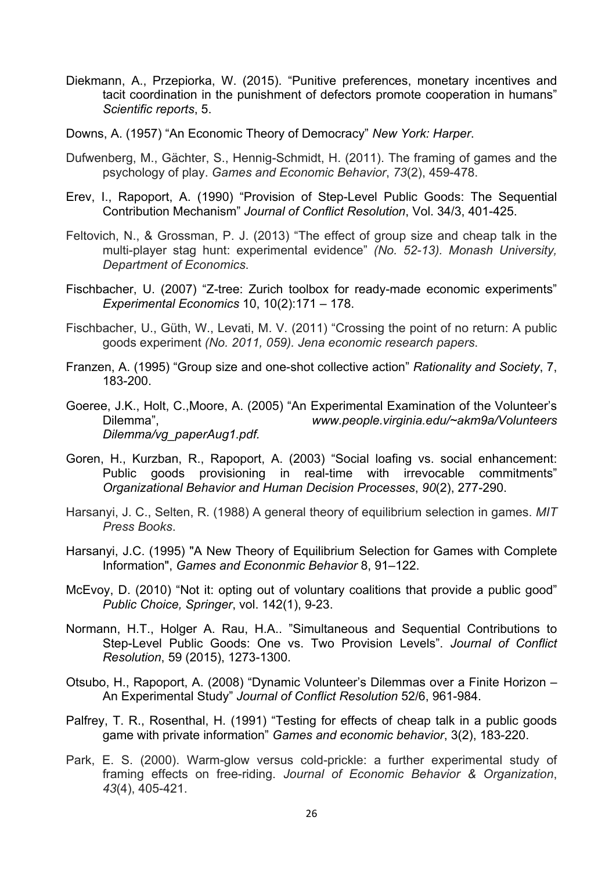- Diekmann, A., Przepiorka, W. (2015). "Punitive preferences, monetary incentives and tacit coordination in the punishment of defectors promote cooperation in humans" *Scientific reports*, 5.
- Downs, A. (1957) "An Economic Theory of Democracy" *New York: Harper*.
- Dufwenberg, M., Gächter, S., Hennig-Schmidt, H. (2011). The framing of games and the psychology of play. *Games and Economic Behavior*, *73*(2), 459-478.
- Erev, I., Rapoport, A. (1990) "Provision of Step-Level Public Goods: The Sequential Contribution Mechanism" *Journal of Conflict Resolution*, Vol. 34/3, 401-425.
- Feltovich, N., & Grossman, P. J. (2013) "The effect of group size and cheap talk in the multi-player stag hunt: experimental evidence" *(No. 52-13). Monash University, Department of Economics*.
- Fischbacher, U. (2007) "Z-tree: Zurich toolbox for ready-made economic experiments" *Experimental Economics* 10, 10(2):171 – 178.
- Fischbacher, U., Güth, W., Levati, M. V. (2011) "Crossing the point of no return: A public goods experiment *(No. 2011, 059). Jena economic research papers*.
- Franzen, A. (1995) "Group size and one-shot collective action" *Rationality and Society*, 7, 183-200.
- Goeree, J.K., Holt, C.,Moore, A. (2005) "An Experimental Examination of the Volunteer's Dilemma", *www.people.virginia.edu/~akm9a/Volunteers Dilemma/vg\_paperAug1.pdf.*
- Goren, H., Kurzban, R., Rapoport, A. (2003) "Social loafing vs. social enhancement: Public goods provisioning in real-time with irrevocable commitments" *Organizational Behavior and Human Decision Processes*, *90*(2), 277-290.
- Harsanyi, J. C., Selten, R. (1988) A general theory of equilibrium selection in games. *MIT Press Books*.
- Harsanyi, J.C. (1995) "A New Theory of Equilibrium Selection for Games with Complete Information", *Games and Econonmic Behavior* 8, 91–122.
- McEvoy, D. (2010) "Not it: opting out of voluntary coalitions that provide a public good" *Public Choice, Springer*, vol. 142(1), 9-23.
- Normann, H.T., Holger A. Rau, H.A.. "Simultaneous and Sequential Contributions to Step-Level Public Goods: One vs. Two Provision Levels". *Journal of Conflict Resolution*, 59 (2015), 1273-1300.
- Otsubo, H., Rapoport, A. (2008) "Dynamic Volunteer's Dilemmas over a Finite Horizon An Experimental Study" *Journal of Conflict Resolution* 52/6, 961-984.
- Palfrey, T. R., Rosenthal, H. (1991) "Testing for effects of cheap talk in a public goods game with private information" *Games and economic behavior*, 3(2), 183-220.
- Park, E. S. (2000). Warm-glow versus cold-prickle: a further experimental study of framing effects on free-riding. *Journal of Economic Behavior & Organization*, *43*(4), 405-421.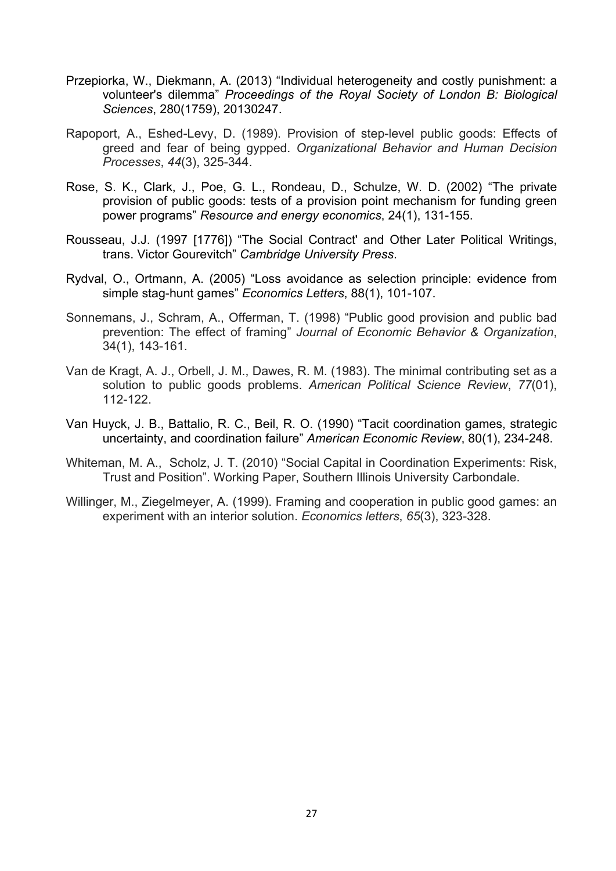- Przepiorka, W., Diekmann, A. (2013) "Individual heterogeneity and costly punishment: a volunteer's dilemma" *Proceedings of the Royal Society of London B: Biological Sciences*, 280(1759), 20130247.
- Rapoport, A., Eshed-Levy, D. (1989). Provision of step-level public goods: Effects of greed and fear of being gypped. *Organizational Behavior and Human Decision Processes*, *44*(3), 325-344.
- Rose, S. K., Clark, J., Poe, G. L., Rondeau, D., Schulze, W. D. (2002) "The private provision of public goods: tests of a provision point mechanism for funding green power programs" *Resource and energy economics*, 24(1), 131-155.
- Rousseau, J.J. (1997 [1776]) "The Social Contract' and Other Later Political Writings, trans. Victor Gourevitch" *Cambridge University Press*.
- Rydval, O., Ortmann, A. (2005) "Loss avoidance as selection principle: evidence from simple stag-hunt games" *Economics Letters*, 88(1), 101-107.
- Sonnemans, J., Schram, A., Offerman, T. (1998) "Public good provision and public bad prevention: The effect of framing" *Journal of Economic Behavior & Organization*, 34(1), 143-161.
- Van de Kragt, A. J., Orbell, J. M., Dawes, R. M. (1983). The minimal contributing set as a solution to public goods problems. *American Political Science Review*, *77*(01), 112-122.
- Van Huyck, J. B., Battalio, R. C., Beil, R. O. (1990) "Tacit coordination games, strategic uncertainty, and coordination failure" *American Economic Review*, 80(1), 234-248.
- Whiteman, M. A., Scholz, J. T. (2010) "Social Capital in Coordination Experiments: Risk, Trust and Position". Working Paper, Southern Illinois University Carbondale.
- Willinger, M., Ziegelmeyer, A. (1999). Framing and cooperation in public good games: an experiment with an interior solution. *Economics letters*, *65*(3), 323-328.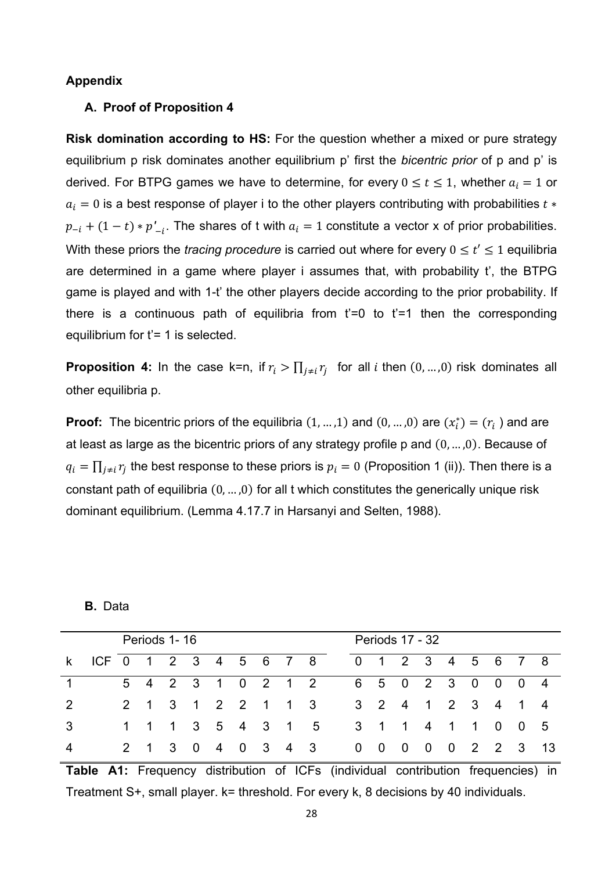#### **Appendix**

#### **A. Proof of Proposition 4**

**Risk domination according to HS:** For the question whether a mixed or pure strategy equilibrium p risk dominates another equilibrium p' first the *bicentric prior* of p and p' is derived. For BTPG games we have to determine, for every  $0 \le t \le 1$ , whether  $a_i = 1$  or  $a_i = 0$  is a best response of player i to the other players contributing with probabilities  $t *$  $p_{-i} + (1-t) * p'_{-i}$ . The shares of t with  $a_i = 1$  constitute a vector x of prior probabilities. With these priors the *tracing procedure* is carried out where for every  $0 \le t' \le 1$  equilibria are determined in a game where player i assumes that, with probability t', the BTPG game is played and with 1-t' the other players decide according to the prior probability. If there is a continuous path of equilibria from  $t'=0$  to  $t'=1$  then the corresponding equilibrium for  $t' = 1$  is selected.

**Proposition 4:** In the case k=n, if  $r_i > \prod_{i \neq i} r_i$  for all *i* then  $(0, ..., 0)$  risk dominates all other equilibria p.

**Proof:** The bicentric priors of the equilibria  $(1, ..., 1)$  and  $(0, ..., 0)$  are  $(x_i^*) = (r_i)$  and are at least as large as the bicentric priors of any strategy profile p and  $(0, \ldots, 0)$ . Because of  $q_i = \prod_{j\neq i} r_j$  the best response to these priors is  $p_i = 0$  (Proposition 1 (ii)). Then there is a constant path of equilibria  $(0, ..., 0)$  for all t which constitutes the generically unique risk dominant equilibrium. (Lemma 4.17.7 in Harsanyi and Selten, 1988).

#### **B.** Data

|    |                       |  | Periods 1-16 |                   |  |  |                   |  | Periods 17 - 32   |  |  |                    |
|----|-----------------------|--|--------------|-------------------|--|--|-------------------|--|-------------------|--|--|--------------------|
| k. | ICF 0 1 2 3 4 5 6 7 8 |  |              |                   |  |  |                   |  | 0 1 2 3 4 5 6 7 8 |  |  |                    |
|    |                       |  |              |                   |  |  | 5 4 2 3 1 0 2 1 2 |  | 6 5 0 2 3 0 0 0 4 |  |  |                    |
|    |                       |  |              | 2 1 3 1 2 2 1 1 3 |  |  |                   |  | 3 2 4 1 2 3 4 1 4 |  |  |                    |
| 3  |                       |  |              |                   |  |  | 1 1 1 3 5 4 3 1 5 |  | 3 1 1 4 1 1 0 0 5 |  |  |                    |
|    |                       |  | 2 1 3 0      |                   |  |  | 4 0 3 4 3         |  |                   |  |  | 0 0 0 0 0 2 2 3 13 |

**Table A1:** Frequency distribution of ICFs (individual contribution frequencies) in Treatment S+, small player. k= threshold. For every k, 8 decisions by 40 individuals.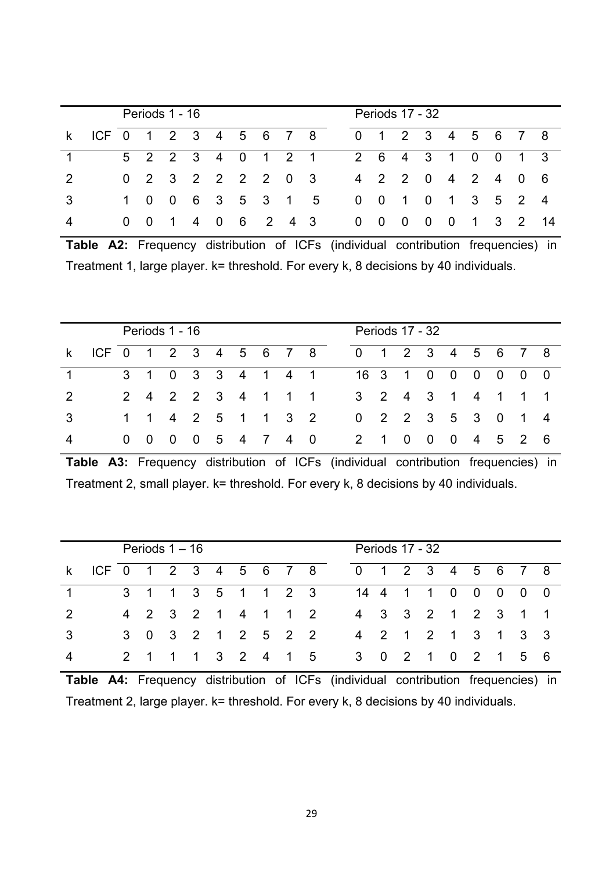|                                           |             | Periods 1 - 16 |  |                   |                   |  | Periods 17 - 32                                                        |  |  |                   |          |
|-------------------------------------------|-------------|----------------|--|-------------------|-------------------|--|------------------------------------------------------------------------|--|--|-------------------|----------|
| k ICF 0 1 2 3 4 5 6 7 8 0 1 2 3 4 5 6 7 8 |             |                |  |                   |                   |  |                                                                        |  |  |                   |          |
|                                           |             |                |  |                   | 5 2 2 3 4 0 1 2 1 |  |                                                                        |  |  | 2 6 4 3 1 0 0 1 3 |          |
|                                           |             |                |  | 0 2 3 2 2 2 2 0 3 |                   |  |                                                                        |  |  | 4 2 2 0 4 2 4 0 6 |          |
|                                           |             |                |  |                   | 1 0 0 6 3 5 3 1 5 |  |                                                                        |  |  | 0 0 1 0 1 3 5 2 4 |          |
|                                           | $0 \quad 0$ |                |  |                   | 1 4 0 6 2 4 3     |  | $\begin{array}{ccccccccccccccccc} & 0 & 0 & 0 & 0 & 0 & 0 \end{array}$ |  |  |                   | 1 3 2 14 |

**Table A2:** Frequency distribution of ICFs (individual contribution frequencies) in Treatment 1, large player. k= threshold. For every k, 8 decisions by 40 individuals.

|                                           |  | Periods 1 - 16 |  |  |                                        |                   | Periods 17 - 32 |  |  |  |
|-------------------------------------------|--|----------------|--|--|----------------------------------------|-------------------|-----------------|--|--|--|
| k ICF 0 1 2 3 4 5 6 7 8 0 1 2 3 4 5 6 7 8 |  |                |  |  |                                        |                   |                 |  |  |  |
|                                           |  |                |  |  | 3 1 0 3 3 4 1 4 1 1 16 3 1 0 0 0 0 0 0 |                   |                 |  |  |  |
|                                           |  |                |  |  | 2 4 2 2 3 4 1 1 1 3 2 4 3 1 4 1 1 1    |                   |                 |  |  |  |
|                                           |  |                |  |  | 1 1 4 2 5 1 1 3 2                      | 0 2 2 3 5 3 0 1 4 |                 |  |  |  |
|                                           |  |                |  |  | 0 0 0 0 5 4 7 4 0 2 1 0 0 0 4 5 2 6    |                   |                 |  |  |  |

**Table A3:** Frequency distribution of ICFs (individual contribution frequencies) in Treatment 2, small player. k= threshold. For every k, 8 decisions by 40 individuals.

|                                           |  | Periods $1 - 16$ |                   |  |  |                                      |                   |  | Periods 17 - 32 |  |  |  |
|-------------------------------------------|--|------------------|-------------------|--|--|--------------------------------------|-------------------|--|-----------------|--|--|--|
| k ICF 0 1 2 3 4 5 6 7 8 0 1 2 3 4 5 6 7 8 |  |                  |                   |  |  |                                      |                   |  |                 |  |  |  |
|                                           |  |                  |                   |  |  | 3 1 1 3 5 1 1 2 3 14 4 1 1 0 0 0 0 0 |                   |  |                 |  |  |  |
|                                           |  |                  |                   |  |  | 4 2 3 2 1 4 1 1 2                    | 4 3 3 2 1 2 3 1 1 |  |                 |  |  |  |
|                                           |  |                  | 3 0 3 2 1 2 5 2 2 |  |  |                                      | 4 2 1 2 1 3 1 3 3 |  |                 |  |  |  |
|                                           |  |                  |                   |  |  | 2 1 1 1 3 2 4 1 5 3 0 2 1 0 2 1 5 6  |                   |  |                 |  |  |  |

**Table A4:** Frequency distribution of ICFs (individual contribution frequencies) in Treatment 2, large player. k= threshold. For every k, 8 decisions by 40 individuals.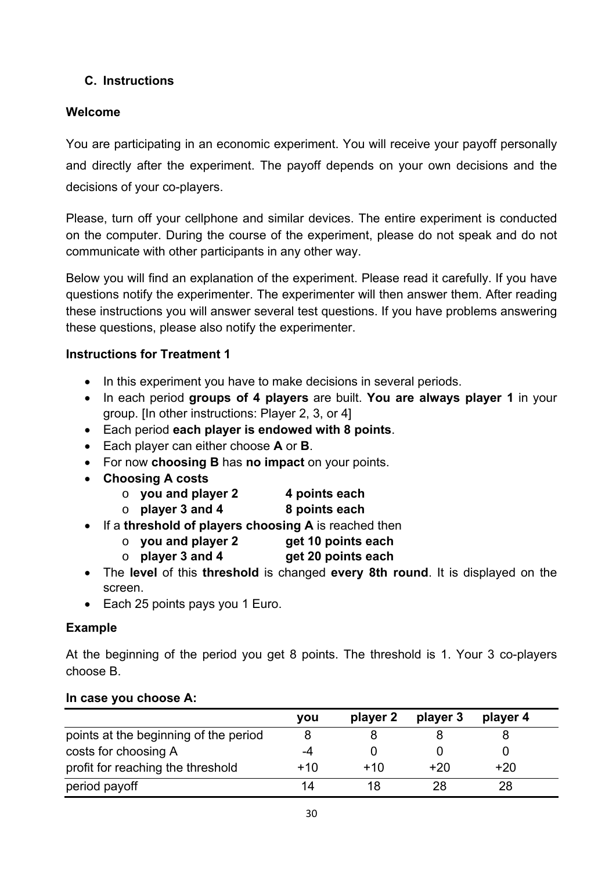# **C. Instructions**

## **Welcome**

You are participating in an economic experiment. You will receive your payoff personally and directly after the experiment. The payoff depends on your own decisions and the decisions of your co-players.

Please, turn off your cellphone and similar devices. The entire experiment is conducted on the computer. During the course of the experiment, please do not speak and do not communicate with other participants in any other way.

Below you will find an explanation of the experiment. Please read it carefully. If you have questions notify the experimenter. The experimenter will then answer them. After reading these instructions you will answer several test questions. If you have problems answering these questions, please also notify the experimenter.

### **Instructions for Treatment 1**

- In this experiment you have to make decisions in several periods.
- In each period **groups of 4 players** are built. **You are always player 1** in your group. [In other instructions: Player 2, 3, or 4]
- Each period **each player is endowed with 8 points**.
- Each player can either choose **A** or **B**.
- For now **choosing B** has **no impact** on your points.
- **Choosing A costs**
	- o **you and player 2 4 points each**
	- o **player 3 and 4 8 points each**
- If a **threshold of players choosing A** is reached then
	- o **you and player 2 get 10 points each**
	- o **player 3 and 4 get 20 points each**
- The **level** of this **threshold** is changed **every 8th round**. It is displayed on the screen.
- Each 25 points pays you 1 Euro.

### **Example**

At the beginning of the period you get 8 points. The threshold is 1. Your 3 co-players choose B.

|                                       | you | player 2 | player 3 | player 4 |
|---------------------------------------|-----|----------|----------|----------|
| points at the beginning of the period |     |          |          |          |
| costs for choosing A                  | -4  |          |          |          |
| profit for reaching the threshold     | +10 | $+10$    | +20      | $+20$    |
| period payoff                         | 14  |          | 28       | 28       |

#### **In case you choose A:**